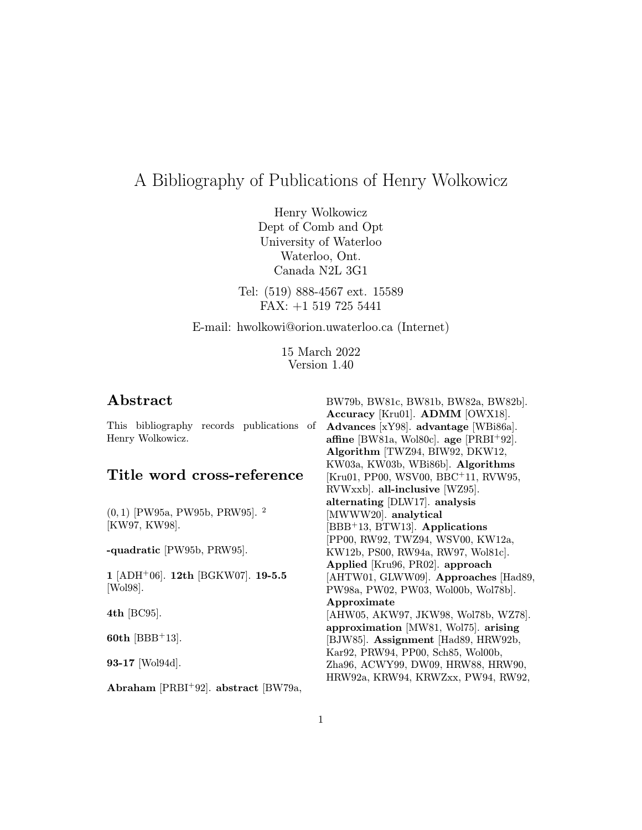# A Bibliography of Publications of Henry Wolkowicz

Henry Wolkowicz Dept of Comb and Opt University of Waterloo Waterloo, Ont. Canada N2L 3G1

Tel: (519) 888-4567 ext. 15589 FAX: +1 519 725 5441

E-mail: hwolkowi@orion.uwaterloo.ca (Internet)

15 March 2022 Version 1.40

## Abstract

This bibliography records publications of Henry Wolkowicz.

## Title word cross-reference

(0, 1) [PW95a, PW95b, PRW95]. <sup>2</sup> [KW97, KW98].

-quadratic [PW95b, PRW95].

1 [ADH<sup>+</sup>06]. 12th [BGKW07]. 19-5.5 [Wol98].

4th [BC95].

60th [BBB<sup>+</sup>13].

93-17 [Wol94d].

Abraham  $[PRBI+92]$ . abstract  $[BW79a,$ 

BW79b, BW81c, BW81b, BW82a, BW82b]. Accuracy [Kru01]. ADMM [OWX18]. Advances [xY98]. advantage [WBi86a]. affine [BW81a, Wol80c]. age  $[PRBI+92]$ . Algorithm [TWZ94, BIW92, DKW12, KW03a, KW03b, WBi86b]. Algorithms [Kru01, PP00, WSV00, BBC<sup>+</sup>11, RVW95, RVWxxb]. all-inclusive [WZ95]. alternating [DLW17]. analysis [MWWW20]. analytical [BBB<sup>+</sup>13, BTW13]. Applications [PP00, RW92, TWZ94, WSV00, KW12a, KW12b, PS00, RW94a, RW97, Wol81c]. Applied [Kru96, PR02]. approach [AHTW01, GLWW09]. Approaches [Had89, PW98a, PW02, PW03, Wol00b, Wol78b]. Approximate [AHW05, AKW97, JKW98, Wol78b, WZ78]. approximation [MW81, Wol75]. arising [BJW85]. Assignment [Had89, HRW92b, Kar92, PRW94, PP00, Sch85, Wol00b, Zha96, ACWY99, DW09, HRW88, HRW90, HRW92a, KRW94, KRWZxx, PW94, RW92,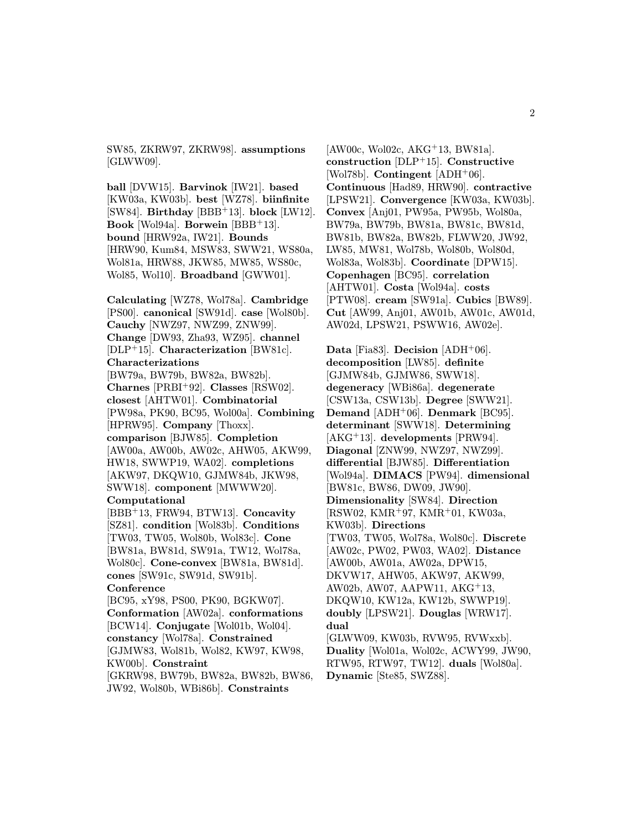SW85, ZKRW97, ZKRW98]. assumptions [GLWW09].

ball [DVW15]. Barvinok [IW21]. based [KW03a, KW03b]. best [WZ78]. biinfinite [SW84]. Birthday [BBB<sup>+</sup>13]. block [LW12]. Book [Wol94a]. Borwein [BBB<sup>+</sup>13]. bound [HRW92a, IW21]. Bounds [HRW90, Kum84, MSW83, SWW21, WS80a, Wol81a, HRW88, JKW85, MW85, WS80c, Wol85, Wol10]. Broadband [GWW01].

Calculating [WZ78, Wol78a]. Cambridge [PS00]. canonical [SW91d]. case [Wol80b]. Cauchy [NWZ97, NWZ99, ZNW99]. Change [DW93, Zha93, WZ95]. channel [DLP<sup>+</sup>15]. Characterization [BW81c]. Characterizations [BW79a, BW79b, BW82a, BW82b].

Charnes [PRBI<sup>+</sup>92]. Classes [RSW02]. closest [AHTW01]. Combinatorial [PW98a, PK90, BC95, Wol00a]. Combining [HPRW95]. **Company** [Thoxx]. comparison [BJW85]. Completion [AW00a, AW00b, AW02c, AHW05, AKW99, HW18, SWWP19, WA02]. completions [AKW97, DKQW10, GJMW84b, JKW98, SWW18]. component [MWWW20]. Computational

[BBB<sup>+</sup>13, FRW94, BTW13]. Concavity [SZ81]. condition [Wol83b]. Conditions [TW03, TW05, Wol80b, Wol83c]. Cone [BW81a, BW81d, SW91a, TW12, Wol78a, Wol80c]. Cone-convex [BW81a, BW81d]. cones [SW91c, SW91d, SW91b]. Conference

[BC95, xY98, PS00, PK90, BGKW07]. Conformation [AW02a]. conformations [BCW14]. Conjugate [Wol01b, Wol04]. constancy [Wol78a]. Constrained [GJMW83, Wol81b, Wol82, KW97, KW98, KW00b]. Constraint

[GKRW98, BW79b, BW82a, BW82b, BW86, JW92, Wol80b, WBi86b]. Constraints

 $[AW00c, W0102c, AKG<sup>+</sup>13, BW81a].$ construction [DLP<sup>+</sup>15]. Constructive [Wol78b]. Contingent  $[ADH<sup>+</sup>06]$ . Continuous [Had89, HRW90]. contractive [LPSW21]. Convergence [KW03a, KW03b]. Convex [Anj01, PW95a, PW95b, Wol80a, BW79a, BW79b, BW81a, BW81c, BW81d, BW81b, BW82a, BW82b, FLWW20, JW92, LW85, MW81, Wol78b, Wol80b, Wol80d, Wol83a, Wol83b]. Coordinate [DPW15]. Copenhagen [BC95]. correlation [AHTW01]. Costa [Wol94a]. costs [PTW08]. cream [SW91a]. Cubics [BW89]. Cut [AW99, Anj01, AW01b, AW01c, AW01d, AW02d, LPSW21, PSWW16, AW02e].

Data [Fia83]. Decision [ADH+06]. decomposition [LW85]. definite [GJMW84b, GJMW86, SWW18]. degeneracy [WBi86a]. degenerate [CSW13a, CSW13b]. Degree [SWW21]. Demand [ADH<sup>+</sup>06]. Denmark [BC95]. determinant [SWW18]. Determining [AKG<sup>+</sup>13]. developments [PRW94]. Diagonal [ZNW99, NWZ97, NWZ99]. differential [BJW85]. Differentiation [Wol94a]. DIMACS [PW94]. dimensional [BW81c, BW86, DW09, JW90]. Dimensionality [SW84]. Direction [RSW02, KMR<sup>+</sup>97, KMR<sup>+</sup>01, KW03a, KW03b]. Directions [TW03, TW05, Wol78a, Wol80c]. Discrete [AW02c, PW02, PW03, WA02]. Distance [AW00b, AW01a, AW02a, DPW15, DKVW17, AHW05, AKW97, AKW99, AW02b, AW07, AAPW11, AKG<sup>+</sup>13, DKQW10, KW12a, KW12b, SWWP19]. doubly [LPSW21]. Douglas [WRW17]. dual [GLWW09, KW03b, RVW95, RVWxxb]. Duality [Wol01a, Wol02c, ACWY99, JW90, RTW95, RTW97, TW12]. duals [Wol80a]. Dynamic [Ste85, SWZ88].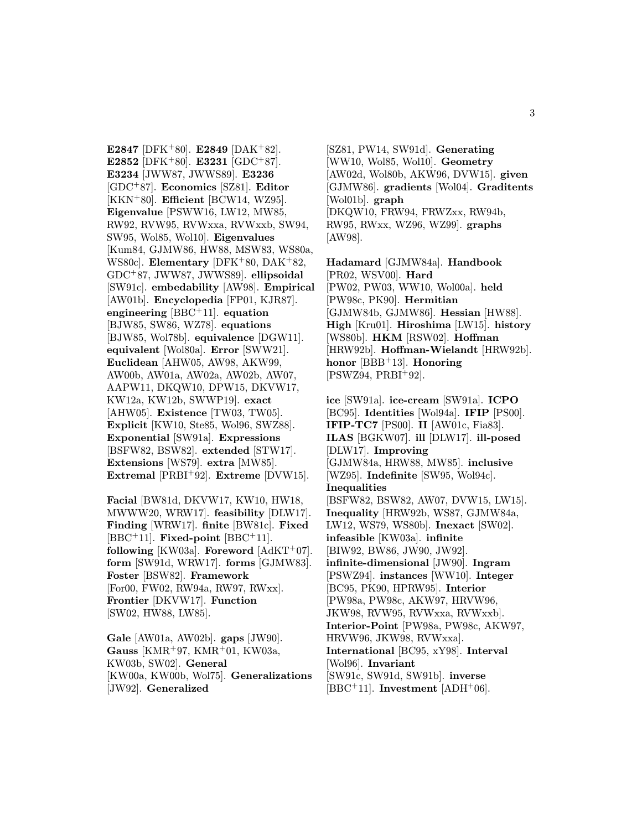E2847 [DFK+80]. E2849 [DAK+82]. E2852 [DFK+80]. E3231 [GDC+87]. E3234 [JWW87, JWWS89]. E3236 [GDC<sup>+</sup>87]. Economics [SZ81]. Editor  $[KKN+80]$ . Efficient  $[BCW14, WZ95]$ . Eigenvalue [PSWW16, LW12, MW85, RW92, RVW95, RVWxxa, RVWxxb, SW94, SW95, Wol85, Wol10]. Eigenvalues [Kum84, GJMW86, HW88, MSW83, WS80a, WS80c]. Elementary [DFK<sup>+</sup>80, DAK<sup>+</sup>82, GDC<sup>+</sup>87, JWW87, JWWS89]. ellipsoidal [SW91c]. embedability [AW98]. Empirical [AW01b]. Encyclopedia [FP01, KJR87]. engineering  $[BBC + 11]$ . equation [BJW85, SW86, WZ78]. equations [BJW85, Wol78b]. equivalence [DGW11]. equivalent [Wol80a]. Error [SWW21]. Euclidean [AHW05, AW98, AKW99, AW00b, AW01a, AW02a, AW02b, AW07, AAPW11, DKQW10, DPW15, DKVW17, KW12a, KW12b, SWWP19]. exact [AHW05]. Existence [TW03, TW05]. Explicit [KW10, Ste85, Wol96, SWZ88]. Exponential [SW91a]. Expressions [BSFW82, BSW82]. extended [STW17]. Extensions [WS79]. extra [MW85]. Extremal  $[PRBI+92]$ . Extreme  $[DVW15]$ .

Facial [BW81d, DKVW17, KW10, HW18, MWWW20, WRW17]. feasibility [DLW17]. Finding [WRW17]. finite [BW81c]. Fixed [BBC<sup>+</sup>11]. Fixed-point [BBC<sup>+</sup>11]. following [KW03a]. Foreword  $[AdKT^+07]$ . form [SW91d, WRW17]. forms [GJMW83]. Foster [BSW82]. Framework [For00, FW02, RW94a, RW97, RWxx]. Frontier [DKVW17]. Function [SW02, HW88, LW85].

Gale [AW01a, AW02b]. gaps [JW90]. Gauss [KMR+97, KMR+01, KW03a, KW03b, SW02]. General [KW00a, KW00b, Wol75]. Generalizations [JW92]. Generalized

[SZ81, PW14, SW91d]. Generating [WW10, Wol85, Wol10]. Geometry [AW02d, Wol80b, AKW96, DVW15]. given [GJMW86]. gradients [Wol04]. Graditents [Wol01b]. graph [DKQW10, FRW94, FRWZxx, RW94b, RW95, RWxx, WZ96, WZ99]. graphs [AW98].

Hadamard [GJMW84a]. Handbook [PR02, WSV00]. Hard [PW02, PW03, WW10, Wol00a]. held [PW98c, PK90]. Hermitian [GJMW84b, GJMW86]. Hessian [HW88]. High [Kru01]. Hiroshima [LW15]. history [WS80b]. HKM [RSW02]. Hoffman [HRW92b]. Hoffman-Wielandt [HRW92b]. honor  $[BBB+13]$ . Honoring  $[PSWZ94, PRBI<sup>+</sup>92].$ 

ice [SW91a]. ice-cream [SW91a]. ICPO [BC95]. Identities [Wol94a]. IFIP [PS00]. IFIP-TC7 [PS00]. II [AW01c, Fia83]. ILAS [BGKW07]. ill [DLW17]. ill-posed [DLW17]. Improving [GJMW84a, HRW88, MW85]. inclusive [WZ95]. Indefinite [SW95, Wol94c]. Inequalities [BSFW82, BSW82, AW07, DVW15, LW15]. Inequality [HRW92b, WS87, GJMW84a, LW12, WS79, WS80b]. Inexact [SW02]. infeasible [KW03a]. infinite [BIW92, BW86, JW90, JW92]. infinite-dimensional [JW90]. Ingram [PSWZ94]. instances [WW10]. Integer [BC95, PK90, HPRW95]. Interior [PW98a, PW98c, AKW97, HRVW96, JKW98, RVW95, RVWxxa, RVWxxb]. Interior-Point [PW98a, PW98c, AKW97, HRVW96, JKW98, RVWxxa]. International [BC95, xY98]. Interval [Wol96]. Invariant [SW91c, SW91d, SW91b]. inverse  $[BBC + 11]$ . Investment  $[ADH^+06]$ .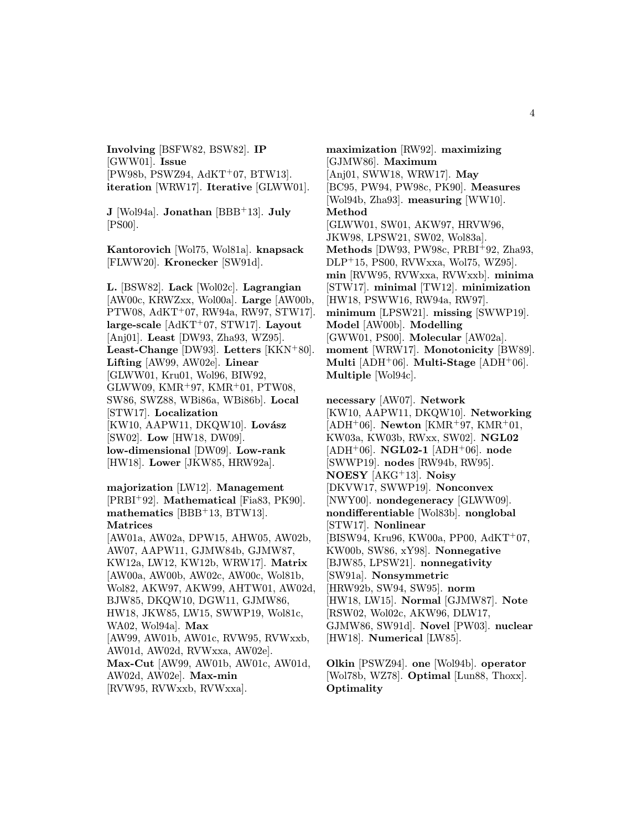Involving [BSFW82, BSW82]. IP [GWW01]. Issue [PW98b, PSWZ94, AdKT<sup>+</sup>07, BTW13]. iteration [WRW17]. Iterative [GLWW01].

J [Wol94a]. Jonathan [BBB+13]. July [PS00].

Kantorovich [Wol75, Wol81a]. knapsack [FLWW20]. Kronecker [SW91d].

L. [BSW82]. Lack [Wol02c]. Lagrangian [AW00c, KRWZxx, Wol00a]. Large [AW00b, PTW08, AdKT<sup>+</sup>07, RW94a, RW97, STW17]. large-scale  $[AdKT<sup>+</sup>07, STW17]$ . Layout [Anj01]. Least [DW93, Zha93, WZ95]. Least-Change [DW93]. Letters [KKN<sup>+</sup>80]. Lifting [AW99, AW02e]. Linear [GLWW01, Kru01, Wol96, BIW92, GLWW09, KMR<sup>+</sup>97, KMR<sup>+</sup>01, PTW08, SW86, SWZ88, WBi86a, WBi86b]. Local [STW17]. Localization [KW10, AAPW11, DKQW10]. Lovász [SW02]. Low [HW18, DW09]. low-dimensional [DW09]. Low-rank [HW18]. Lower [JKW85, HRW92a].

majorization [LW12]. Management [PRBI<sup>+</sup>92]. Mathematical [Fia83, PK90]. mathematics [BBB<sup>+</sup>13, BTW13]. Matrices

[AW01a, AW02a, DPW15, AHW05, AW02b, AW07, AAPW11, GJMW84b, GJMW87, KW12a, LW12, KW12b, WRW17]. Matrix [AW00a, AW00b, AW02c, AW00c, Wol81b, Wol82, AKW97, AKW99, AHTW01, AW02d, BJW85, DKQW10, DGW11, GJMW86, HW18, JKW85, LW15, SWWP19, Wol81c, WA02, Wol94a]. Max [AW99, AW01b, AW01c, RVW95, RVWxxb, AW01d, AW02d, RVWxxa, AW02e]. Max-Cut [AW99, AW01b, AW01c, AW01d, AW02d, AW02e]. Max-min [RVW95, RVWxxb, RVWxxa].

maximization [RW92]. maximizing [GJMW86]. Maximum [Anj01, SWW18, WRW17]. May [BC95, PW94, PW98c, PK90]. Measures [Wol94b, Zha93]. measuring [WW10]. Method [GLWW01, SW01, AKW97, HRVW96, JKW98, LPSW21, SW02, Wol83a]. Methods [DW93, PW98c, PRBI<sup>+</sup>92, Zha93, DLP<sup>+</sup>15, PS00, RVWxxa, Wol75, WZ95]. min [RVW95, RVWxxa, RVWxxb]. minima [STW17]. minimal [TW12]. minimization [HW18, PSWW16, RW94a, RW97]. minimum [LPSW21]. missing [SWWP19]. Model [AW00b]. Modelling [GWW01, PS00]. Molecular [AW02a]. moment [WRW17]. Monotonicity [BW89]. Multi  $[ADH<sup>+</sup>06]$ . Multi-Stage  $[ADH<sup>+</sup>06]$ . Multiple [Wol94c].

necessary [AW07]. Network [KW10, AAPW11, DKQW10]. Networking [ADH<sup>+</sup>06]. **Newton** [KMR<sup>+</sup>97, KMR<sup>+</sup>01, KW03a, KW03b, RWxx, SW02]. NGL02  $[ADH<sup>+</sup>06]$ . **NGL02-1**  $[ADH<sup>+</sup>06]$ . node [SWWP19]. nodes [RW94b, RW95]. NOESY [AKG<sup>+</sup>13]. Noisy [DKVW17, SWWP19]. Nonconvex [NWY00]. nondegeneracy [GLWW09]. nondifferentiable [Wol83b]. nonglobal [STW17]. Nonlinear [BISW94, Kru96, KW00a, PP00, AdKT<sup>+</sup>07, KW00b, SW86, xY98]. Nonnegative [BJW85, LPSW21]. nonnegativity [SW91a]. Nonsymmetric [HRW92b, SW94, SW95]. norm [HW18, LW15]. Normal [GJMW87]. Note [RSW02, Wol02c, AKW96, DLW17, GJMW86, SW91d]. Novel [PW03]. nuclear [HW18]. Numerical [LW85].

Olkin [PSWZ94]. one [Wol94b]. operator [Wol78b, WZ78]. Optimal [Lun88, Thoxx]. **Optimality**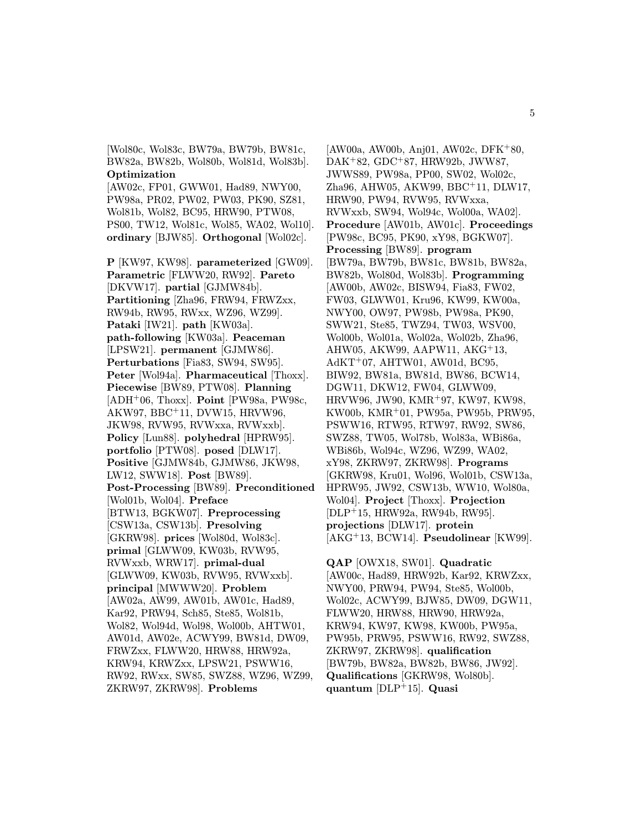[Wol80c, Wol83c, BW79a, BW79b, BW81c, BW82a, BW82b, Wol80b, Wol81d, Wol83b]. Optimization

[AW02c, FP01, GWW01, Had89, NWY00, PW98a, PR02, PW02, PW03, PK90, SZ81, Wol81b, Wol82, BC95, HRW90, PTW08, PS00, TW12, Wol81c, Wol85, WA02, Wol10]. ordinary [BJW85]. Orthogonal [Wol02c].

P [KW97, KW98]. parameterized [GW09]. Parametric [FLWW20, RW92]. Pareto [DKVW17]. partial [GJMW84b]. Partitioning [Zha96, FRW94, FRWZxx, RW94b, RW95, RWxx, WZ96, WZ99]. Pataki [IW21]. path [KW03a]. path-following [KW03a]. Peaceman [LPSW21]. permanent [GJMW86]. Perturbations [Fia83, SW94, SW95]. Peter [Wol94a]. Pharmaceutical [Thoxx]. Piecewise [BW89, PTW08]. Planning  $[ADH<sup>+</sup>06, Thoxx]$ . **Point**  $[PW98a, PW98c,$ AKW97, BBC<sup>+</sup>11, DVW15, HRVW96, JKW98, RVW95, RVWxxa, RVWxxb]. Policy [Lun88]. polyhedral [HPRW95]. portfolio [PTW08]. posed [DLW17]. Positive [GJMW84b, GJMW86, JKW98, LW12, SWW18]. Post [BW89]. Post-Processing [BW89]. Preconditioned [Wol01b, Wol04]. Preface [BTW13, BGKW07]. Preprocessing [CSW13a, CSW13b]. Presolving [GKRW98]. prices [Wol80d, Wol83c]. primal [GLWW09, KW03b, RVW95, RVWxxb, WRW17]. primal-dual [GLWW09, KW03b, RVW95, RVWxxb]. principal [MWWW20]. Problem [AW02a, AW99, AW01b, AW01c, Had89, Kar92, PRW94, Sch85, Ste85, Wol81b, Wol82, Wol94d, Wol98, Wol00b, AHTW01, AW01d, AW02e, ACWY99, BW81d, DW09, FRWZxx, FLWW20, HRW88, HRW92a, KRW94, KRWZxx, LPSW21, PSWW16, RW92, RWxx, SW85, SWZ88, WZ96, WZ99, ZKRW97, ZKRW98]. Problems

 $[AW00a, AW00b, Ani01, AW02c, DFK+80,$ DAK<sup>+</sup>82, GDC<sup>+</sup>87, HRW92b, JWW87, JWWS89, PW98a, PP00, SW02, Wol02c, Zha96, AHW05, AKW99, BBC<sup>+</sup>11, DLW17, HRW90, PW94, RVW95, RVWxxa, RVWxxb, SW94, Wol94c, Wol00a, WA02]. Procedure [AW01b, AW01c]. Proceedings [PW98c, BC95, PK90, xY98, BGKW07]. Processing [BW89]. program [BW79a, BW79b, BW81c, BW81b, BW82a, BW82b, Wol80d, Wol83b]. Programming [AW00b, AW02c, BISW94, Fia83, FW02, FW03, GLWW01, Kru96, KW99, KW00a, NWY00, OW97, PW98b, PW98a, PK90, SWW21, Ste85, TWZ94, TW03, WSV00, Wol00b, Wol01a, Wol02a, Wol02b, Zha96, AHW05, AKW99, AAPW11, AKG<sup>+</sup>13, AdKT<sup>+</sup>07, AHTW01, AW01d, BC95, BIW92, BW81a, BW81d, BW86, BCW14, DGW11, DKW12, FW04, GLWW09, HRVW96, JW90, KMR<sup>+</sup>97, KW97, KW98, KW00b, KMR<sup>+</sup>01, PW95a, PW95b, PRW95, PSWW16, RTW95, RTW97, RW92, SW86, SWZ88, TW05, Wol78b, Wol83a, WBi86a, WBi86b, Wol94c, WZ96, WZ99, WA02, xY98, ZKRW97, ZKRW98]. Programs [GKRW98, Kru01, Wol96, Wol01b, CSW13a, HPRW95, JW92, CSW13b, WW10, Wol80a, Wol04]. Project [Thoxx]. Projection [DLP<sup>+</sup>15, HRW92a, RW94b, RW95]. projections [DLW17]. protein [AKG<sup>+</sup>13, BCW14]. Pseudolinear [KW99].

QAP [OWX18, SW01]. Quadratic [AW00c, Had89, HRW92b, Kar92, KRWZxx, NWY00, PRW94, PW94, Ste85, Wol00b, Wol02c, ACWY99, BJW85, DW09, DGW11, FLWW20, HRW88, HRW90, HRW92a, KRW94, KW97, KW98, KW00b, PW95a, PW95b, PRW95, PSWW16, RW92, SWZ88, ZKRW97, ZKRW98]. qualification [BW79b, BW82a, BW82b, BW86, JW92]. Qualifications [GKRW98, Wol80b]. quantum [DLP<sup>+</sup>15]. Quasi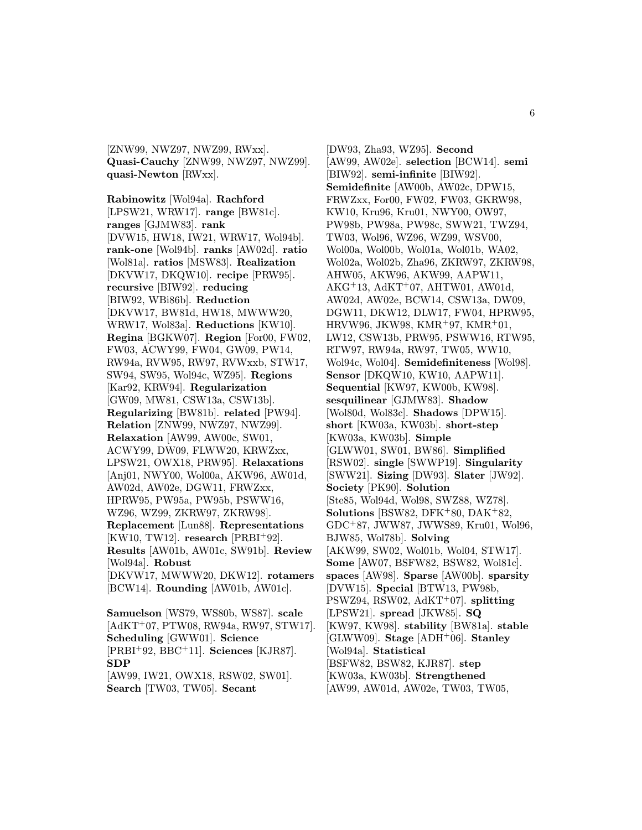[ZNW99, NWZ97, NWZ99, RWxx]. Quasi-Cauchy [ZNW99, NWZ97, NWZ99]. quasi-Newton [RWxx].

Rabinowitz [Wol94a]. Rachford [LPSW21, WRW17]. range [BW81c]. ranges [GJMW83]. rank [DVW15, HW18, IW21, WRW17, Wol94b]. rank-one [Wol94b]. ranks [AW02d]. ratio [Wol81a]. ratios [MSW83]. Realization [DKVW17, DKQW10]. recipe [PRW95]. recursive [BIW92]. reducing [BIW92, WBi86b]. Reduction [DKVW17, BW81d, HW18, MWWW20, WRW17, Wol83a]. Reductions [KW10]. Regina [BGKW07]. Region [For00, FW02, FW03, ACWY99, FW04, GW09, PW14, RW94a, RVW95, RW97, RVWxxb, STW17, SW94, SW95, Wol94c, WZ95]. Regions [Kar92, KRW94]. Regularization [GW09, MW81, CSW13a, CSW13b]. Regularizing [BW81b]. related [PW94]. Relation [ZNW99, NWZ97, NWZ99]. Relaxation [AW99, AW00c, SW01, ACWY99, DW09, FLWW20, KRWZxx, LPSW21, OWX18, PRW95]. Relaxations [Anj01, NWY00, Wol00a, AKW96, AW01d, AW02d, AW02e, DGW11, FRWZxx, HPRW95, PW95a, PW95b, PSWW16, WZ96, WZ99, ZKRW97, ZKRW98]. Replacement [Lun88]. Representations  $[KW10, TW12]$ . research  $[PRBI<sup>+</sup>92]$ . Results [AW01b, AW01c, SW91b]. Review [Wol94a]. Robust [DKVW17, MWWW20, DKW12]. rotamers [BCW14]. Rounding [AW01b, AW01c].

Samuelson [WS79, WS80b, WS87]. scale [AdKT<sup>+</sup>07, PTW08, RW94a, RW97, STW17]. Scheduling [GWW01]. Science  $[PRBI+92, BBC+11]$ . Sciences  $[KJR87]$ . SDP [AW99, IW21, OWX18, RSW02, SW01]. Search [TW03, TW05]. Secant

[DW93, Zha93, WZ95]. Second [AW99, AW02e]. selection [BCW14]. semi [BIW92]. semi-infinite [BIW92]. Semidefinite [AW00b, AW02c, DPW15, FRWZxx, For00, FW02, FW03, GKRW98, KW10, Kru96, Kru01, NWY00, OW97, PW98b, PW98a, PW98c, SWW21, TWZ94, TW03, Wol96, WZ96, WZ99, WSV00, Wol00a, Wol00b, Wol01a, Wol01b, WA02, Wol02a, Wol02b, Zha96, ZKRW97, ZKRW98, AHW05, AKW96, AKW99, AAPW11, AKG<sup>+</sup>13, AdKT<sup>+</sup>07, AHTW01, AW01d, AW02d, AW02e, BCW14, CSW13a, DW09, DGW11, DKW12, DLW17, FW04, HPRW95,  $HRVW96, JKW98, KMR<sup>+</sup>97, KMR<sup>+</sup>01,$ LW12, CSW13b, PRW95, PSWW16, RTW95, RTW97, RW94a, RW97, TW05, WW10, Wol94c, Wol04]. Semidefiniteness [Wol98]. Sensor [DKQW10, KW10, AAPW11]. Sequential [KW97, KW00b, KW98]. sesquilinear [GJMW83]. Shadow [Wol80d, Wol83c]. Shadows [DPW15]. short [KW03a, KW03b]. short-step [KW03a, KW03b]. Simple [GLWW01, SW01, BW86]. Simplified [RSW02]. single [SWWP19]. Singularity [SWW21]. Sizing [DW93]. Slater [JW92]. Society [PK90]. Solution [Ste85, Wol94d, Wol98, SWZ88, WZ78]. Solutions [BSW82, DFK+80, DAK+82, GDC<sup>+</sup>87, JWW87, JWWS89, Kru01, Wol96, BJW85, Wol78b]. Solving [AKW99, SW02, Wol01b, Wol04, STW17]. Some [AW07, BSFW82, BSW82, Wol81c]. spaces [AW98]. Sparse [AW00b]. sparsity [DVW15]. Special [BTW13, PW98b, PSWZ94, RSW02, AdKT<sup>+</sup>07]. splitting [LPSW21]. spread [JKW85]. SQ [KW97, KW98]. stability [BW81a]. stable  $[GLWW09]$ . Stage  $[ADH<sup>+</sup>06]$ . Stanley [Wol94a]. Statistical [BSFW82, BSW82, KJR87]. step [KW03a, KW03b]. Strengthened [AW99, AW01d, AW02e, TW03, TW05,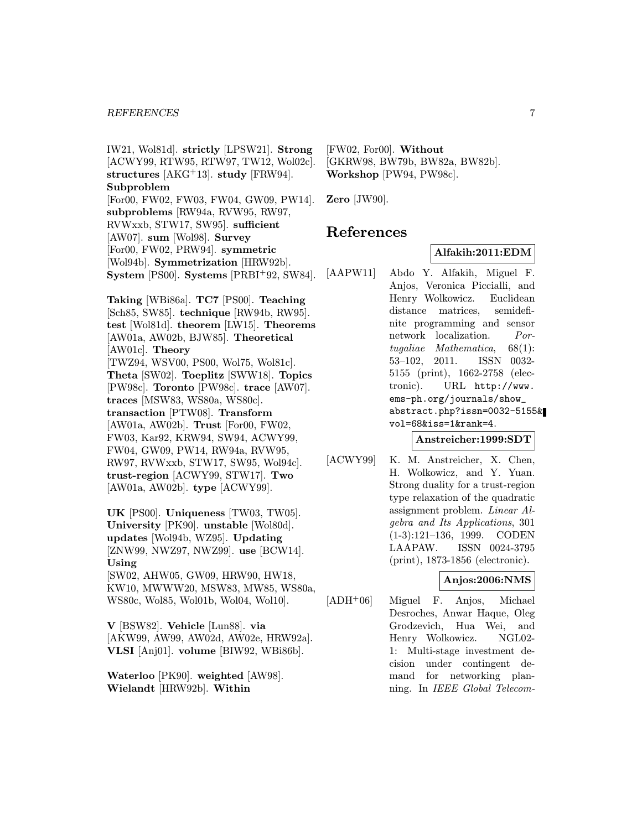IW21, Wol81d]. strictly [LPSW21]. Strong [ACWY99, RTW95, RTW97, TW12, Wol02c]. structures  $[AKG+13]$ . study  $[FRW94]$ . Subproblem [For00, FW02, FW03, FW04, GW09, PW14]. subproblems [RW94a, RVW95, RW97, RVWxxb, STW17, SW95]. sufficient [AW07]. sum [Wol98]. Survey [For00, FW02, PRW94]. symmetric [Wol94b]. Symmetrization [HRW92b]. System [PS00]. Systems [PRBI<sup>+</sup>92, SW84].

Taking [WBi86a]. TC7 [PS00]. Teaching [Sch85, SW85]. technique [RW94b, RW95]. test [Wol81d]. theorem [LW15]. Theorems [AW01a, AW02b, BJW85]. Theoretical [AW01c]. Theory [TWZ94, WSV00, PS00, Wol75, Wol81c]. Theta [SW02]. Toeplitz [SWW18]. Topics [PW98c]. Toronto [PW98c]. trace [AW07]. traces [MSW83, WS80a, WS80c]. transaction [PTW08]. Transform [AW01a, AW02b]. Trust [For00, FW02, FW03, Kar92, KRW94, SW94, ACWY99, FW04, GW09, PW14, RW94a, RVW95, RW97, RVWxxb, STW17, SW95, Wol94c]. trust-region [ACWY99, STW17]. Two [AW01a, AW02b]. type [ACWY99].

UK [PS00]. Uniqueness [TW03, TW05]. University [PK90]. unstable [Wol80d]. updates [Wol94b, WZ95]. Updating [ZNW99, NWZ97, NWZ99]. use [BCW14]. Using [SW02, AHW05, GW09, HRW90, HW18,

KW10, MWWW20, MSW83, MW85, WS80a, WS80c, Wol85, Wol01b, Wol04, Wol10].

V [BSW82]. Vehicle [Lun88]. via [AKW99, AW99, AW02d, AW02e, HRW92a]. VLSI [Anj01]. volume [BIW92, WBi86b].

Waterloo [PK90]. weighted [AW98]. Wielandt [HRW92b]. Within

[FW02, For00]. Without [GKRW98, BW79b, BW82a, BW82b]. Workshop [PW94, PW98c].

Zero [JW90].

## References

### Alfakih:2011:EDM

[AAPW11] Abdo Y. Alfakih, Miguel F. Anjos, Veronica Piccialli, and Henry Wolkowicz. Euclidean distance matrices, semidefinite programming and sensor network localization. Portugaliae Mathematica, 68(1): 53–102, 2011. ISSN 0032- 5155 (print), 1662-2758 (electronic). URL http://www. ems-ph.org/journals/show\_ abstract.php?issn=0032-5155& vol=68&iss=1&rank=4.

### Anstreicher:1999:SDT

[ACWY99] K. M. Anstreicher, X. Chen, H. Wolkowicz, and Y. Yuan. Strong duality for a trust-region type relaxation of the quadratic assignment problem. Linear Algebra and Its Applications, 301 (1-3):121–136, 1999. CODEN LAAPAW. ISSN 0024-3795 (print), 1873-1856 (electronic).

### Anjos:2006:NMS

[ADH<sup>+</sup>06] Miguel F. Anjos, Michael Desroches, Anwar Haque, Oleg Grodzevich, Hua Wei, and Henry Wolkowicz. NGL02- 1: Multi-stage investment decision under contingent demand for networking planning. In IEEE Global Telecom-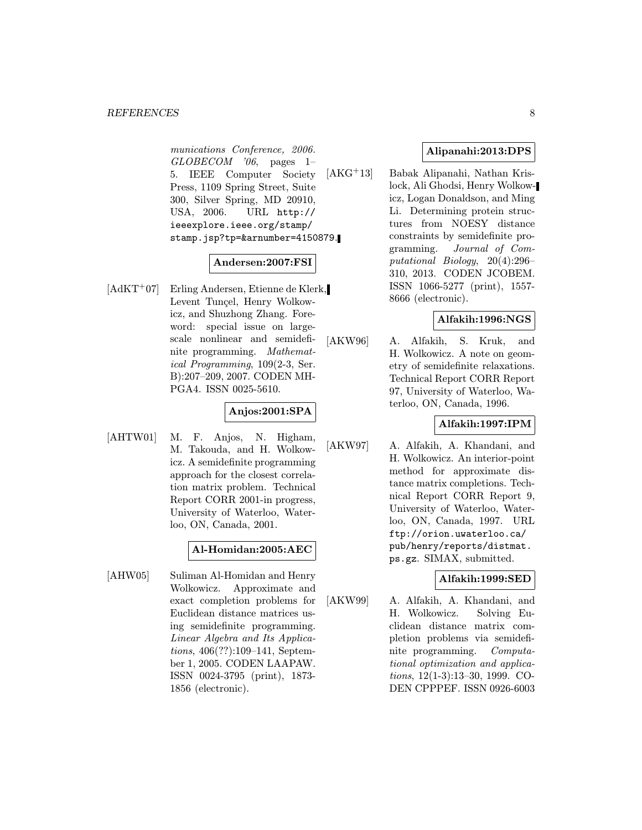#### REFERENCES 8

munications Conference, 2006.  $GLOBECOM$  '06, pages 1– 5. IEEE Computer Society Press, 1109 Spring Street, Suite 300, Silver Spring, MD 20910, USA, 2006. URL http:// ieeexplore.ieee.org/stamp/ stamp.jsp?tp=&arnumber=4150879.

## Andersen:2007:FSI

[AdKT<sup>+</sup>07] Erling Andersen, Etienne de Klerk, Levent Tunçel, Henry Wolkowicz, and Shuzhong Zhang. Foreword: special issue on largescale nonlinear and semidefinite programming. Mathematical Programming, 109(2-3, Ser. B):207–209, 2007. CODEN MH-PGA4. ISSN 0025-5610.

## Anjos:2001:SPA

[AHTW01] M. F. Anjos, N. Higham, M. Takouda, and H. Wolkowicz. A semidefinite programming approach for the closest correlation matrix problem. Technical Report CORR 2001-in progress, University of Waterloo, Waterloo, ON, Canada, 2001.

### Al-Homidan:2005:AEC

[AHW05] Suliman Al-Homidan and Henry Wolkowicz. Approximate and exact completion problems for Euclidean distance matrices using semidefinite programming. Linear Algebra and Its Applications, 406(??):109–141, September 1, 2005. CODEN LAAPAW. ISSN 0024-3795 (print), 1873- 1856 (electronic).

### Alipanahi:2013:DPS

[AKG<sup>+</sup>13] Babak Alipanahi, Nathan Krislock, Ali Ghodsi, Henry Wolkowicz, Logan Donaldson, and Ming Li. Determining protein structures from NOESY distance constraints by semidefinite programming. Journal of Computational Biology, 20(4):296– 310, 2013. CODEN JCOBEM. ISSN 1066-5277 (print), 1557- 8666 (electronic).

### Alfakih:1996:NGS

[AKW96] A. Alfakih, S. Kruk, and H. Wolkowicz. A note on geometry of semidefinite relaxations. Technical Report CORR Report 97, University of Waterloo, Waterloo, ON, Canada, 1996.

### Alfakih:1997:IPM

[AKW97] A. Alfakih, A. Khandani, and H. Wolkowicz. An interior-point method for approximate distance matrix completions. Technical Report CORR Report 9, University of Waterloo, Waterloo, ON, Canada, 1997. URL ftp://orion.uwaterloo.ca/ pub/henry/reports/distmat. ps.gz. SIMAX, submitted.

### Alfakih:1999:SED

[AKW99] A. Alfakih, A. Khandani, and H. Wolkowicz. Solving Euclidean distance matrix completion problems via semidefinite programming. Computational optimization and applications, 12(1-3):13–30, 1999. CO-DEN CPPPEF. ISSN 0926-6003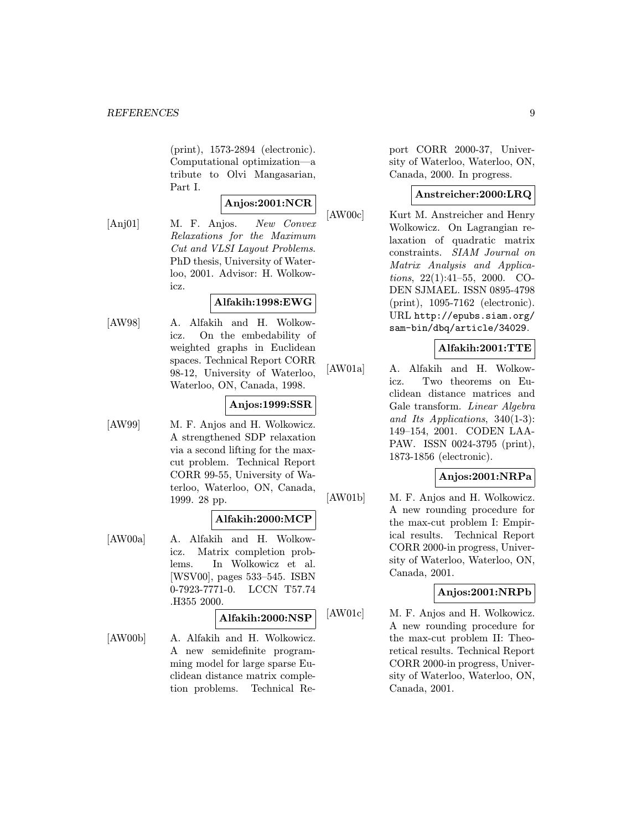(print), 1573-2894 (electronic). Computational optimization—a tribute to Olvi Mangasarian, Part I.

## Anjos:2001:NCR

[Anj01] M. F. Anjos. New Convex Relaxations for the Maximum Cut and VLSI Layout Problems. PhD thesis, University of Waterloo, 2001. Advisor: H. Wolkowicz.

## Alfakih:1998:EWG

[AW98] A. Alfakih and H. Wolkowicz. On the embedability of weighted graphs in Euclidean spaces. Technical Report CORR 98-12, University of Waterloo, Waterloo, ON, Canada, 1998.

### Anjos:1999:SSR

[AW99] M. F. Anjos and H. Wolkowicz. A strengthened SDP relaxation via a second lifting for the maxcut problem. Technical Report CORR 99-55, University of Waterloo, Waterloo, ON, Canada, 1999. 28 pp.

### Alfakih:2000:MCP

[AW00a] A. Alfakih and H. Wolkowicz. Matrix completion problems. In Wolkowicz et al. [WSV00], pages 533–545. ISBN 0-7923-7771-0. LCCN T57.74 .H355 2000.

## Alfakih:2000:NSP

[AW00b] A. Alfakih and H. Wolkowicz. A new semidefinite programming model for large sparse Euclidean distance matrix completion problems. Technical Re-

port CORR 2000-37, University of Waterloo, Waterloo, ON, Canada, 2000. In progress.

## Anstreicher:2000:LRQ

[AW00c] Kurt M. Anstreicher and Henry Wolkowicz. On Lagrangian relaxation of quadratic matrix constraints. SIAM Journal on Matrix Analysis and Applications, 22(1):41–55, 2000. CO-DEN SJMAEL. ISSN 0895-4798 (print), 1095-7162 (electronic). URL http://epubs.siam.org/ sam-bin/dbq/article/34029.

## Alfakih:2001:TTE

[AW01a] A. Alfakih and H. Wolkowicz. Two theorems on Euclidean distance matrices and Gale transform. Linear Algebra and Its Applications, 340(1-3): 149–154, 2001. CODEN LAA-PAW. ISSN 0024-3795 (print), 1873-1856 (electronic).

### Anjos:2001:NRPa

[AW01b] M. F. Anjos and H. Wolkowicz. A new rounding procedure for the max-cut problem I: Empirical results. Technical Report CORR 2000-in progress, University of Waterloo, Waterloo, ON, Canada, 2001.

### Anjos:2001:NRPb

[AW01c] M. F. Anjos and H. Wolkowicz. A new rounding procedure for the max-cut problem II: Theoretical results. Technical Report CORR 2000-in progress, University of Waterloo, Waterloo, ON, Canada, 2001.

- 
- 
- 
- 
- 
-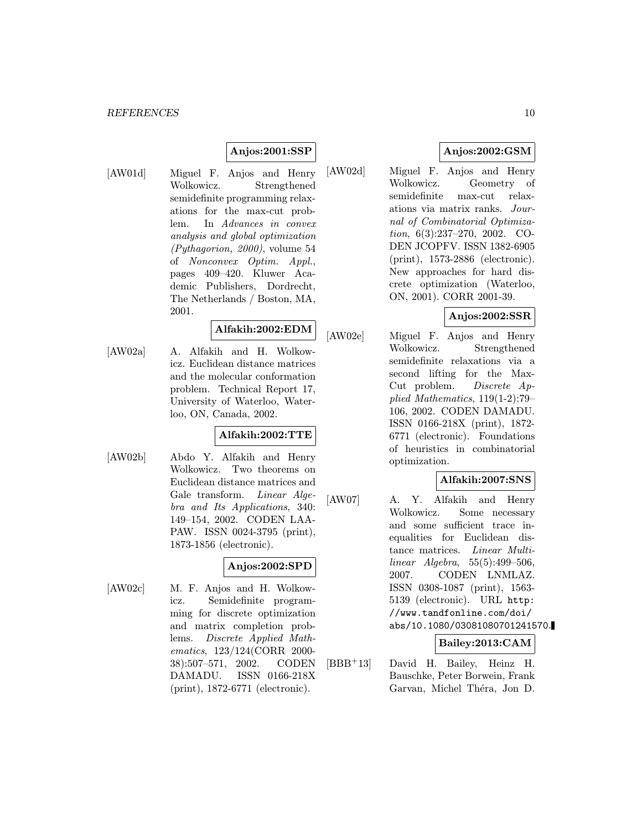## Anjos:2001:SSP

[AW01d] Miguel F. Anjos and Henry Wolkowicz. Strengthened semidefinite programming relaxations for the max-cut problem. In Advances in convex analysis and global optimization (Pythagorion, 2000), volume 54 of Nonconvex Optim. Appl., pages 409–420. Kluwer Academic Publishers, Dordrecht, The Netherlands / Boston, MA, 2001.

## Alfakih:2002:EDM

[AW02a] A. Alfakih and H. Wolkowicz. Euclidean distance matrices and the molecular conformation problem. Technical Report 17, University of Waterloo, Waterloo, ON, Canada, 2002.

## Alfakih:2002:TTE

[AW02b] Abdo Y. Alfakih and Henry Wolkowicz. Two theorems on Euclidean distance matrices and Gale transform. Linear Algebra and Its Applications, 340: 149–154, 2002. CODEN LAA-PAW. ISSN 0024-3795 (print), 1873-1856 (electronic).

### Anjos:2002:SPD

[AW02c] M. F. Anjos and H. Wolkowicz. Semidefinite programming for discrete optimization and matrix completion problems. Discrete Applied Mathematics, 123/124(CORR 2000- 38):507–571, 2002. CODEN DAMADU. ISSN 0166-218X (print), 1872-6771 (electronic).

## Anjos:2002:GSM

[AW02d] Miguel F. Anjos and Henry Wolkowicz. Geometry of semidefinite max-cut relaxations via matrix ranks. Journal of Combinatorial Optimization, 6(3):237–270, 2002. CO-DEN JCOPFV. ISSN 1382-6905 (print), 1573-2886 (electronic). New approaches for hard discrete optimization (Waterloo, ON, 2001). CORR 2001-39.

## Anjos:2002:SSR

[AW02e] Miguel F. Anjos and Henry Wolkowicz. Strengthened semidefinite relaxations via a second lifting for the Max-Cut problem. Discrete Applied Mathematics, 119(1-2):79– 106, 2002. CODEN DAMADU. ISSN 0166-218X (print), 1872- 6771 (electronic). Foundations of heuristics in combinatorial optimization.

### Alfakih:2007:SNS

[AW07] A. Y. Alfakih and Henry Wolkowicz. Some necessary and some sufficient trace inequalities for Euclidean distance matrices. Linear Multilinear Algebra, 55(5):499–506, 2007. CODEN LNMLAZ. ISSN 0308-1087 (print), 1563- 5139 (electronic). URL http: //www.tandfonline.com/doi/ abs/10.1080/03081080701241570.

### Bailey:2013:CAM

[BBB<sup>+</sup>13] David H. Bailey, Heinz H. Bauschke, Peter Borwein, Frank Garvan, Michel Théra, Jon D.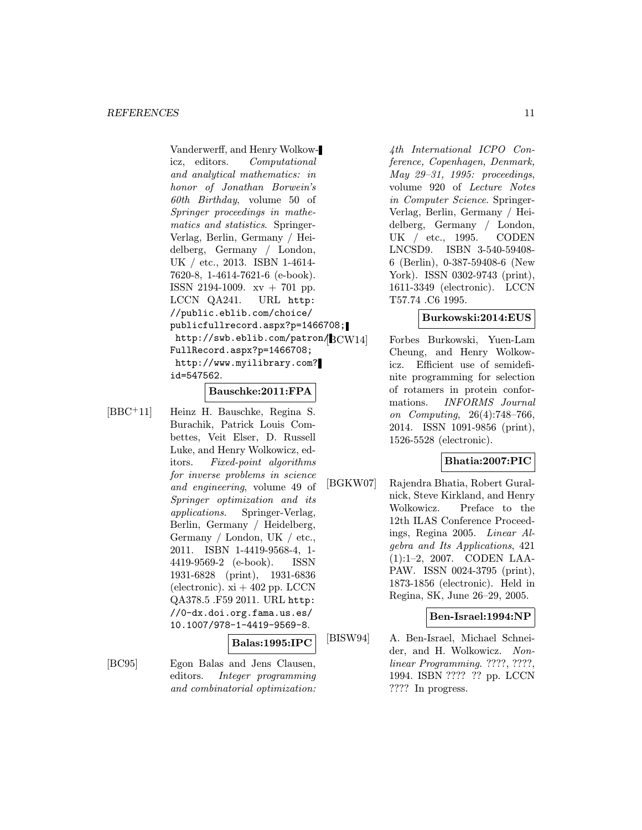Vanderwerff, and Henry Wolkowicz, editors. Computational and analytical mathematics: in honor of Jonathan Borwein's 60th Birthday, volume 50 of Springer proceedings in mathematics and statistics. Springer-Verlag, Berlin, Germany / Heidelberg, Germany / London, UK / etc., 2013. ISBN 1-4614- 7620-8, 1-4614-7621-6 (e-book). ISSN 2194-1009. xv + 701 pp. LCCN QA241. URL http: //public.eblib.com/choice/ publicfullrecord.aspx?p=1466708; http://swb.eblib.com/patron/BCW14 FullRecord.aspx?p=1466708; http://www.myilibrary.com? id=547562.

#### Bauschke:2011:FPA

[BBC<sup>+</sup>11] Heinz H. Bauschke, Regina S. Burachik, Patrick Louis Combettes, Veit Elser, D. Russell Luke, and Henry Wolkowicz, editors. Fixed-point algorithms for inverse problems in science and engineering, volume 49 of Springer optimization and its applications. Springer-Verlag, Berlin, Germany / Heidelberg, Germany / London, UK / etc., 2011. ISBN 1-4419-9568-4, 1- 4419-9569-2 (e-book). ISSN 1931-6828 (print), 1931-6836 (electronic).  $xi + 402$  pp. LCCN QA378.5 .F59 2011. URL http: //0-dx.doi.org.fama.us.es/ 10.1007/978-1-4419-9569-8.

#### Balas:1995:IPC

[BC95] Egon Balas and Jens Clausen, editors. Integer programming and combinatorial optimization:

4th International ICPO Conference, Copenhagen, Denmark, May 29–31, 1995: proceedings, volume 920 of Lecture Notes in Computer Science. Springer-Verlag, Berlin, Germany / Heidelberg, Germany / London, UK / etc., 1995. CODEN LNCSD9. ISBN 3-540-59408- 6 (Berlin), 0-387-59408-6 (New York). ISSN 0302-9743 (print), 1611-3349 (electronic). LCCN T57.74 .C6 1995.

### Burkowski:2014:EUS

Forbes Burkowski, Yuen-Lam Cheung, and Henry Wolkowicz. Efficient use of semidefinite programming for selection of rotamers in protein conformations. INFORMS Journal on Computing, 26(4):748–766, 2014. ISSN 1091-9856 (print), 1526-5528 (electronic).

## Bhatia:2007:PIC

[BGKW07] Rajendra Bhatia, Robert Guralnick, Steve Kirkland, and Henry Wolkowicz. Preface to the 12th ILAS Conference Proceedings, Regina 2005. Linear Algebra and Its Applications, 421 (1):1–2, 2007. CODEN LAA-PAW. ISSN 0024-3795 (print), 1873-1856 (electronic). Held in Regina, SK, June 26–29, 2005.

### Ben-Israel:1994:NP

[BISW94] A. Ben-Israel, Michael Schneider, and H. Wolkowicz. Nonlinear Programming. ????, ????, 1994. ISBN ???? ?? pp. LCCN ???? In progress.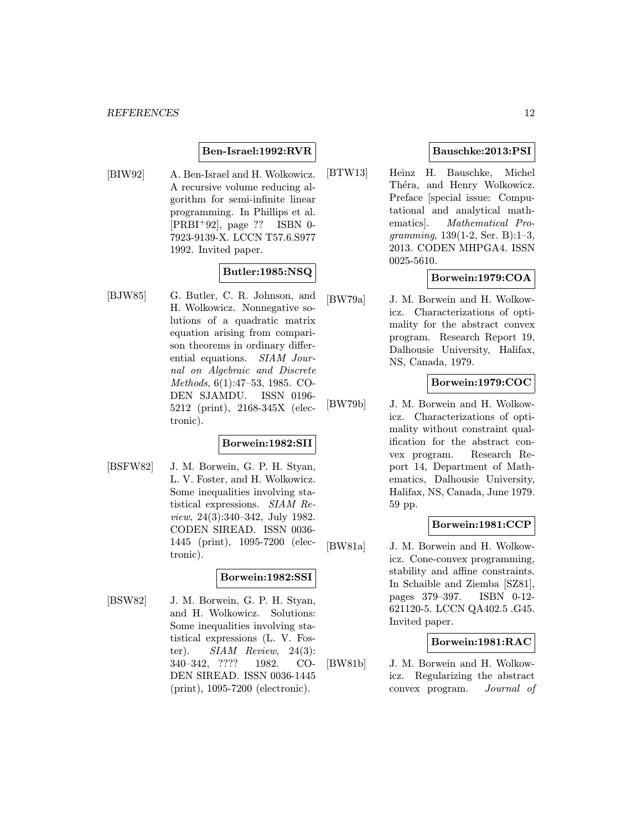### Ben-Israel:1992:RVR

[BIW92] A. Ben-Israel and H. Wolkowicz. A recursive volume reducing algorithm for semi-infinite linear programming. In Phillips et al. [PRBI<sup>+</sup>92], page ?? ISBN 0- 7923-9139-X. LCCN T57.6.S977 1992. Invited paper.

## Butler:1985:NSQ

[BJW85] G. Butler, C. R. Johnson, and H. Wolkowicz. Nonnegative solutions of a quadratic matrix equation arising from comparison theorems in ordinary differential equations. SIAM Journal on Algebraic and Discrete Methods, 6(1):47–53, 1985. CO-DEN SJAMDU. ISSN 0196- 5212 (print), 2168-345X (electronic).

## Borwein:1982:SII

[BSFW82] J. M. Borwein, G. P. H. Styan, L. V. Foster, and H. Wolkowicz. Some inequalities involving statistical expressions. SIAM Review, 24(3):340–342, July 1982. CODEN SIREAD. ISSN 0036- 1445 (print), 1095-7200 (electronic).

### Borwein:1982:SSI

[BSW82] J. M. Borwein, G. P. H. Styan, and H. Wolkowicz. Solutions: Some inequalities involving statistical expressions (L. V. Foster).  $SIAM$  Review, 24(3): 340–342, ???? 1982. CO-DEN SIREAD. ISSN 0036-1445 (print), 1095-7200 (electronic).

## Bauschke:2013:PSI

[BTW13] Heinz H. Bauschke, Michel Théra, and Henry Wolkowicz. Preface [special issue: Computational and analytical mathematics]. Mathematical Programming, 139(1-2, Ser. B):1–3, 2013. CODEN MHPGA4. ISSN 0025-5610.

## Borwein:1979:COA

[BW79a] J. M. Borwein and H. Wolkowicz. Characterizations of optimality for the abstract convex program. Research Report 19, Dalhousie University, Halifax, NS, Canada, 1979.

### Borwein:1979:COC

[BW79b] J. M. Borwein and H. Wolkowicz. Characterizations of optimality without constraint qualification for the abstract convex program. Research Report 14, Department of Mathematics, Dalhousie University, Halifax, NS, Canada, June 1979. 59 pp.

### Borwein:1981:CCP

[BW81a] J. M. Borwein and H. Wolkowicz. Cone-convex programming, stability and affine constraints. In Schaible and Ziemba [SZ81], pages 379–397. ISBN 0-12- 621120-5. LCCN QA402.5 .G45. Invited paper.

### Borwein:1981:RAC

[BW81b] J. M. Borwein and H. Wolkowicz. Regularizing the abstract convex program. Journal of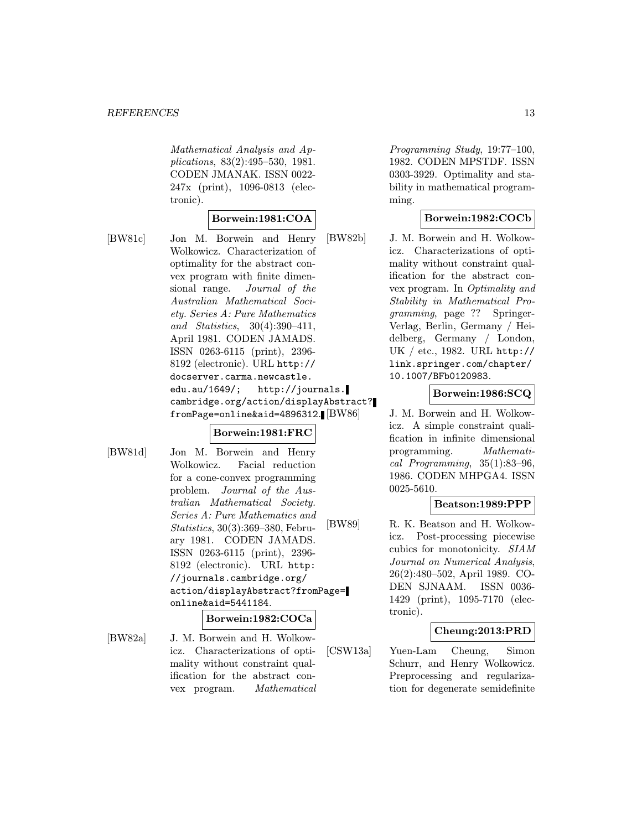Mathematical Analysis and Applications, 83(2):495–530, 1981. CODEN JMANAK. ISSN 0022- 247x (print), 1096-0813 (electronic).

### Borwein:1981:COA

[BW81c] Jon M. Borwein and Henry Wolkowicz. Characterization of optimality for the abstract convex program with finite dimensional range. Journal of the Australian Mathematical Society. Series A: Pure Mathematics and Statistics, 30(4):390–411, April 1981. CODEN JAMADS. ISSN 0263-6115 (print), 2396- 8192 (electronic). URL http:// docserver.carma.newcastle. edu.au/1649/; http://journals. cambridge.org/action/displayAbstract? fromPage=online&aid=4896312.

### Borwein:1981:FRC

[BW81d] Jon M. Borwein and Henry Wolkowicz. Facial reduction for a cone-convex programming problem. Journal of the Australian Mathematical Society. Series A: Pure Mathematics and Statistics, 30(3):369–380, February 1981. CODEN JAMADS. ISSN 0263-6115 (print), 2396- 8192 (electronic). URL http: //journals.cambridge.org/ action/displayAbstract?fromPage= online&aid=5441184.

#### Borwein:1982:COCa

[BW82a] J. M. Borwein and H. Wolkowicz. Characterizations of optimality without constraint qualification for the abstract convex program. Mathematical Programming Study, 19:77–100, 1982. CODEN MPSTDF. ISSN 0303-3929. Optimality and stability in mathematical programming.

### Borwein:1982:COCb

[BW82b] J. M. Borwein and H. Wolkowicz. Characterizations of optimality without constraint qualification for the abstract convex program. In Optimality and Stability in Mathematical Programming, page ?? Springer-Verlag, Berlin, Germany / Heidelberg, Germany / London, UK / etc., 1982. URL http:// link.springer.com/chapter/ 10.1007/BFb0120983.

### Borwein:1986:SCQ

J. M. Borwein and H. Wolkowicz. A simple constraint qualification in infinite dimensional programming. Mathematical Programming, 35(1):83–96, 1986. CODEN MHPGA4. ISSN 0025-5610.

### Beatson:1989:PPP

[BW89] R. K. Beatson and H. Wolkowicz. Post-processing piecewise cubics for monotonicity. SIAM Journal on Numerical Analysis, 26(2):480–502, April 1989. CO-DEN SJNAAM. ISSN 0036- 1429 (print), 1095-7170 (electronic).

### Cheung:2013:PRD

[CSW13a] Yuen-Lam Cheung, Simon Schurr, and Henry Wolkowicz. Preprocessing and regularization for degenerate semidefinite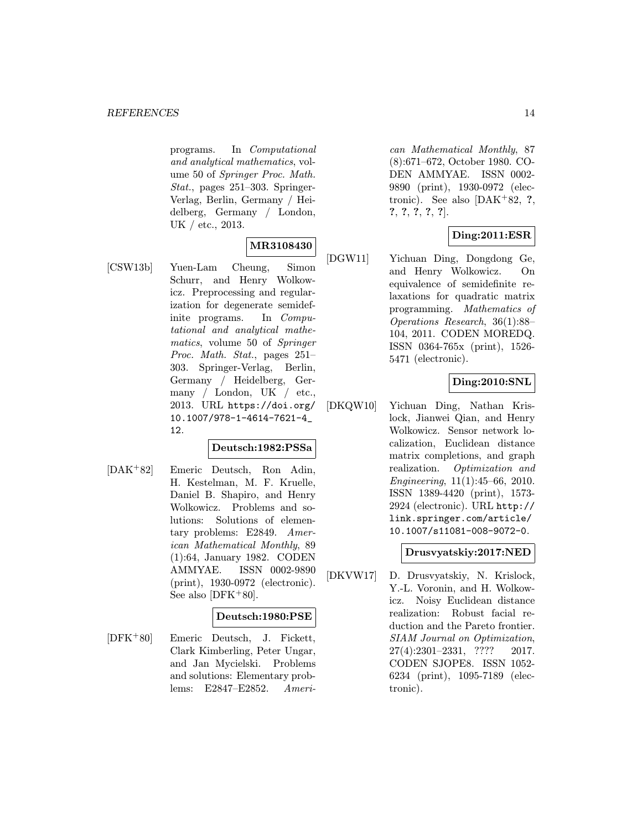programs. In Computational and analytical mathematics, volume 50 of Springer Proc. Math. Stat., pages 251–303. Springer-Verlag, Berlin, Germany / Heidelberg, Germany / London, UK / etc., 2013.

## MR3108430

[CSW13b] Yuen-Lam Cheung, Simon Schurr, and Henry Wolkowicz. Preprocessing and regularization for degenerate semidefinite programs. In Computational and analytical mathematics, volume 50 of Springer Proc. Math. Stat., pages 251– 303. Springer-Verlag, Berlin, Germany / Heidelberg, Germany / London, UK / etc., 2013. URL https://doi.org/ 10.1007/978-1-4614-7621-4\_ 12.

## Deutsch:1982:PSSa

[DAK<sup>+</sup>82] Emeric Deutsch, Ron Adin, H. Kestelman, M. F. Kruelle, Daniel B. Shapiro, and Henry Wolkowicz. Problems and solutions: Solutions of elementary problems: E2849. American Mathematical Monthly, 89 (1):64, January 1982. CODEN AMMYAE. ISSN 0002-9890 (print), 1930-0972 (electronic). See also [DFK+80].

### Deutsch:1980:PSE

[DFK<sup>+</sup>80] Emeric Deutsch, J. Fickett, Clark Kimberling, Peter Ungar, and Jan Mycielski. Problems and solutions: Elementary problems: E2847–E2852. American Mathematical Monthly, 87 (8):671–672, October 1980. CO-DEN AMMYAE. ISSN 0002- 9890 (print), 1930-0972 (electronic). See also  $[DAK+82, ?]$ ?, ?, ?, ?, ?].

## Ding:2011:ESR

[DGW11] Yichuan Ding, Dongdong Ge, and Henry Wolkowicz. On equivalence of semidefinite relaxations for quadratic matrix programming. Mathematics of Operations Research, 36(1):88– 104, 2011. CODEN MOREDQ. ISSN 0364-765x (print), 1526- 5471 (electronic).

## Ding:2010:SNL

[DKQW10] Yichuan Ding, Nathan Krislock, Jianwei Qian, and Henry Wolkowicz. Sensor network localization, Euclidean distance matrix completions, and graph realization. Optimization and Engineering, 11(1):45–66, 2010. ISSN 1389-4420 (print), 1573- 2924 (electronic). URL http:// link.springer.com/article/ 10.1007/s11081-008-9072-0.

## Drusvyatskiy:2017:NED

[DKVW17] D. Drusvyatskiy, N. Krislock, Y.-L. Voronin, and H. Wolkowicz. Noisy Euclidean distance realization: Robust facial reduction and the Pareto frontier. SIAM Journal on Optimization, 27(4):2301–2331, ???? 2017. CODEN SJOPE8. ISSN 1052- 6234 (print), 1095-7189 (electronic).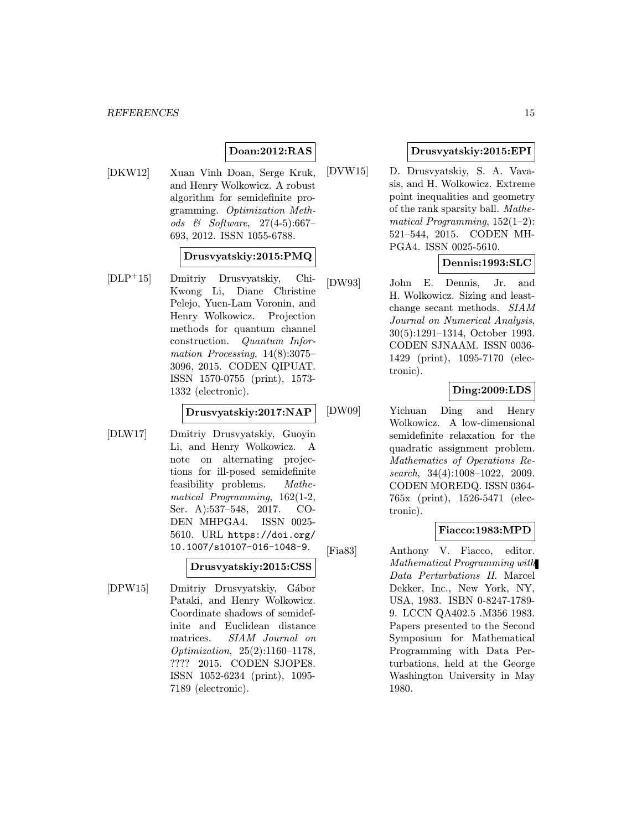## Doan:2012:RAS

[DKW12] Xuan Vinh Doan, Serge Kruk, and Henry Wolkowicz. A robust algorithm for semidefinite programming. Optimization Methods & Software, 27(4-5):667– 693, 2012. ISSN 1055-6788.

### Drusvyatskiy:2015:PMQ

[DLP<sup>+</sup>15] Dmitriy Drusvyatskiy, Chi-Kwong Li, Diane Christine Pelejo, Yuen-Lam Voronin, and Henry Wolkowicz. Projection methods for quantum channel construction. Quantum Information Processing, 14(8):3075– 3096, 2015. CODEN QIPUAT. ISSN 1570-0755 (print), 1573- 1332 (electronic).

Drusvyatskiy:2017:NAP

[DLW17] Dmitriy Drusvyatskiy, Guoyin Li, and Henry Wolkowicz. A note on alternating projections for ill-posed semidefinite feasibility problems. Mathematical Programming, 162(1-2, Ser. A):537–548, 2017. CO-DEN MHPGA4. ISSN 0025- 5610. URL https://doi.org/ 10.1007/s10107-016-1048-9.

Drusvyatskiy:2015:CSS

[DPW15] Dmitriy Drusvyatskiy, Gábor Pataki, and Henry Wolkowicz. Coordinate shadows of semidefinite and Euclidean distance matrices. SIAM Journal on Optimization, 25(2):1160–1178, ???? 2015. CODEN SJOPE8. ISSN 1052-6234 (print), 1095- 7189 (electronic).

## Drusvyatskiy:2015:EPI

[DVW15] D. Drusvyatskiy, S. A. Vavasis, and H. Wolkowicz. Extreme point inequalities and geometry of the rank sparsity ball. Mathematical Programming,  $152(1-2)$ : 521–544, 2015. CODEN MH-PGA4. ISSN 0025-5610.

## Dennis:1993:SLC

[DW93] John E. Dennis, Jr. and H. Wolkowicz. Sizing and leastchange secant methods. SIAM Journal on Numerical Analysis, 30(5):1291–1314, October 1993. CODEN SJNAAM. ISSN 0036- 1429 (print), 1095-7170 (electronic).

## Ding:2009:LDS

[DW09] Yichuan Ding and Henry Wolkowicz. A low-dimensional semidefinite relaxation for the quadratic assignment problem. Mathematics of Operations Research, 34(4):1008-1022, 2009. CODEN MOREDQ. ISSN 0364- 765x (print), 1526-5471 (electronic).

## Fiacco:1983:MPD

[Fia83] Anthony V. Fiacco, editor. Mathematical Programming with Data Perturbations II. Marcel Dekker, Inc., New York, NY, USA, 1983. ISBN 0-8247-1789- 9. LCCN QA402.5 .M356 1983. Papers presented to the Second Symposium for Mathematical Programming with Data Perturbations, held at the George Washington University in May 1980.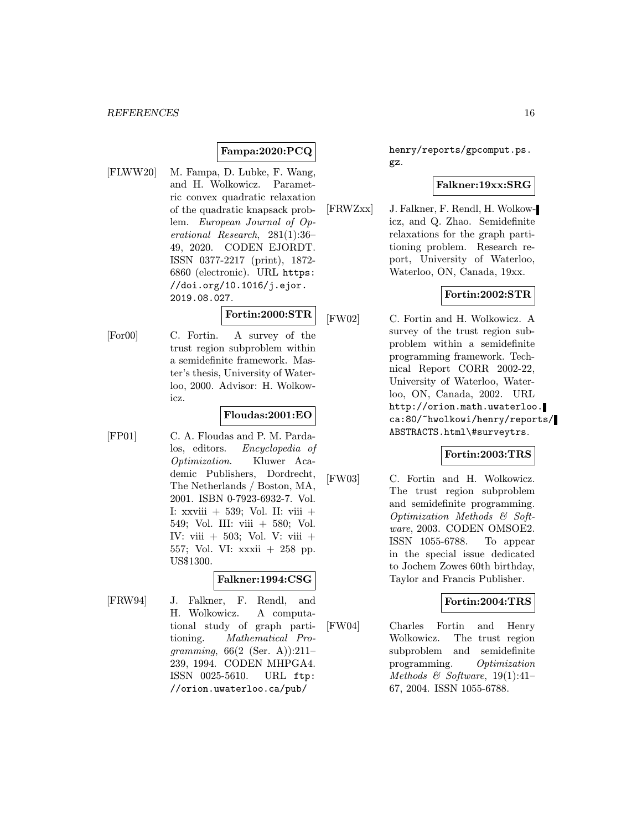## Fampa:2020:PCQ

[FLWW20] M. Fampa, D. Lubke, F. Wang, and H. Wolkowicz. Parametric convex quadratic relaxation of the quadratic knapsack problem. European Journal of Operational Research, 281(1):36– 49, 2020. CODEN EJORDT. ISSN 0377-2217 (print), 1872- 6860 (electronic). URL https: //doi.org/10.1016/j.ejor. 2019.08.027.

## Fortin:2000:STR

[For00] C. Fortin. A survey of the trust region subproblem within a semidefinite framework. Master's thesis, University of Waterloo, 2000. Advisor: H. Wolkowicz.

## Floudas:2001:EO

[FP01] C. A. Floudas and P. M. Pardalos, editors. Encyclopedia of Optimization. Kluwer Academic Publishers, Dordrecht, The Netherlands / Boston, MA, 2001. ISBN 0-7923-6932-7. Vol. I: xxviii + 539; Vol. II: viii + 549; Vol. III: viii + 580; Vol. IV: viii  $+$  503; Vol. V: viii  $+$ 557; Vol. VI: xxxii + 258 pp. US\$1300.

### Falkner:1994:CSG

[FRW94] J. Falkner, F. Rendl, and H. Wolkowicz. A computational study of graph partitioning. Mathematical Programming,  $66(2 \text{ (Ser. A)})$ :211-239, 1994. CODEN MHPGA4. ISSN 0025-5610. URL ftp: //orion.uwaterloo.ca/pub/

henry/reports/gpcomput.ps. gz.

## Falkner:19xx:SRG

[FRWZxx] J. Falkner, F. Rendl, H. Wolkowicz, and Q. Zhao. Semidefinite relaxations for the graph partitioning problem. Research report, University of Waterloo, Waterloo, ON, Canada, 19xx.

## Fortin:2002:STR

[FW02] C. Fortin and H. Wolkowicz. A survey of the trust region subproblem within a semidefinite programming framework. Technical Report CORR 2002-22, University of Waterloo, Waterloo, ON, Canada, 2002. URL http://orion.math.uwaterloo. ca:80/~hwolkowi/henry/reports/ ABSTRACTS.html\#surveytrs.

### Fortin:2003:TRS

[FW03] C. Fortin and H. Wolkowicz. The trust region subproblem and semidefinite programming. Optimization Methods & Software, 2003. CODEN OMSOE2. ISSN 1055-6788. To appear in the special issue dedicated to Jochem Zowes 60th birthday, Taylor and Francis Publisher.

### Fortin:2004:TRS

[FW04] Charles Fortin and Henry Wolkowicz. The trust region subproblem and semidefinite programming. Optimization Methods  $\&$  Software, 19(1):41– 67, 2004. ISSN 1055-6788.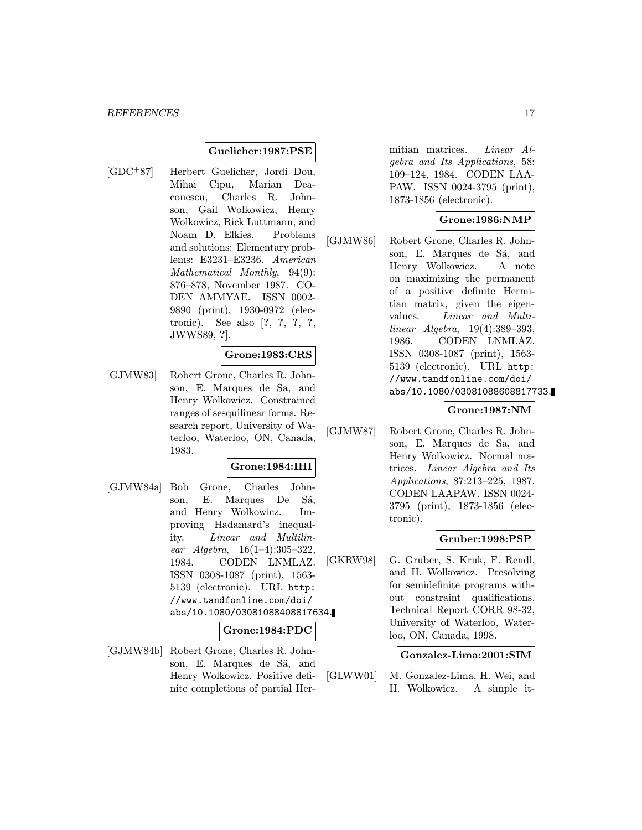### Guelicher:1987:PSE

[GDC<sup>+</sup>87] Herbert Guelicher, Jordi Dou, Mihai Cipu, Marian Deaconescu, Charles R. Johnson, Gail Wolkowicz, Henry Wolkowicz, Rick Luttmann, and Noam D. Elkies. Problems and solutions: Elementary problems: E3231–E3236. American Mathematical Monthly, 94(9): 876–878, November 1987. CO-DEN AMMYAE. ISSN 0002- 9890 (print), 1930-0972 (electronic). See also [?, ?, ?, ?, JWWS89, ?].

#### Grone:1983:CRS

[GJMW83] Robert Grone, Charles R. Johnson, E. Marques de Sa, and Henry Wolkowicz. Constrained ranges of sesquilinear forms. Research report, University of Waterloo, Waterloo, ON, Canada, 1983.

#### Grone:1984:IHI

[GJMW84a] Bob Grone, Charles Johnson, E. Marques De Sá, and Henry Wolkowicz. Improving Hadamard's inequality. Linear and Multilinear Algebra,  $16(1-4):305-322$ , 1984. CODEN LNMLAZ. ISSN 0308-1087 (print), 1563- 5139 (electronic). URL http: //www.tandfonline.com/doi/ abs/10.1080/03081088408817634.

#### Grone:1984:PDC

[GJMW84b] Robert Grone, Charles R. Johnson, E. Marques de Sä, and Henry Wolkowicz. Positive definite completions of partial Hermitian matrices. Linear Algebra and Its Applications, 58: 109–124, 1984. CODEN LAA-PAW. ISSN 0024-3795 (print), 1873-1856 (electronic).

## Grone:1986:NMP

[GJMW86] Robert Grone, Charles R. Johnson, E. Marques de Sá, and Henry Wolkowicz. A note on maximizing the permanent of a positive definite Hermitian matrix, given the eigenvalues. Linear and Multilinear Algebra, 19(4):389–393, 1986. CODEN LNMLAZ. ISSN 0308-1087 (print), 1563- 5139 (electronic). URL http: //www.tandfonline.com/doi/ abs/10.1080/03081088608817733.

### Grone:1987:NM

[GJMW87] Robert Grone, Charles R. Johnson, E. Marques de Sa, and Henry Wolkowicz. Normal matrices. Linear Algebra and Its Applications, 87:213–225, 1987. CODEN LAAPAW. ISSN 0024- 3795 (print), 1873-1856 (electronic).

### Gruber:1998:PSP

[GKRW98] G. Gruber, S. Kruk, F. Rendl, and H. Wolkowicz. Presolving for semidefinite programs without constraint qualifications. Technical Report CORR 98-32, University of Waterloo, Waterloo, ON, Canada, 1998.

#### Gonzalez-Lima:2001:SIM

[GLWW01] M. Gonzalez-Lima, H. Wei, and H. Wolkowicz. A simple it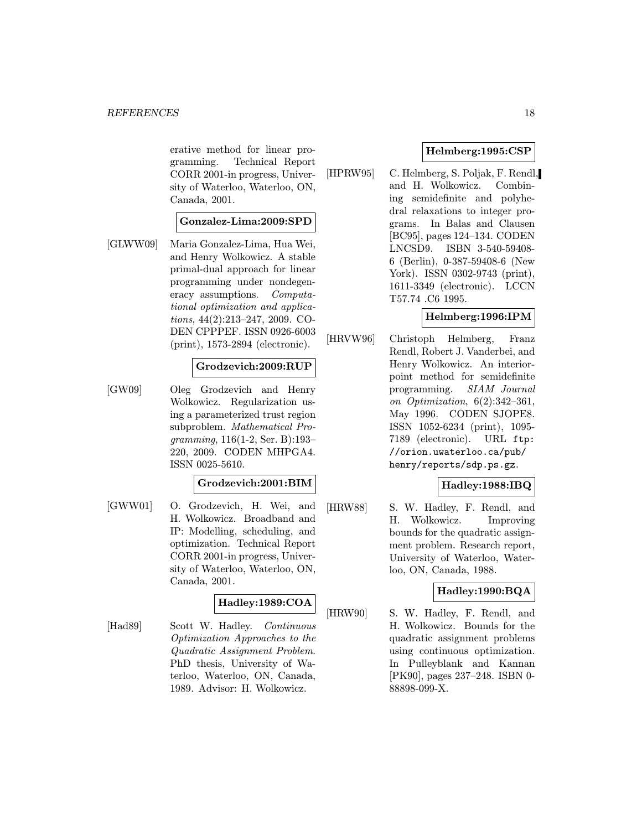erative method for linear programming. Technical Report CORR 2001-in progress, University of Waterloo, Waterloo, ON, Canada, 2001.

### Gonzalez-Lima:2009:SPD

[GLWW09] Maria Gonzalez-Lima, Hua Wei, and Henry Wolkowicz. A stable primal-dual approach for linear programming under nondegeneracy assumptions. Computational optimization and applications, 44(2):213–247, 2009. CO-DEN CPPPEF. ISSN 0926-6003 (print), 1573-2894 (electronic).

### Grodzevich:2009:RUP

[GW09] Oleg Grodzevich and Henry Wolkowicz. Regularization using a parameterized trust region subproblem. Mathematical Programming, 116(1-2, Ser. B):193– 220, 2009. CODEN MHPGA4. ISSN 0025-5610.

## Grodzevich:2001:BIM

[GWW01] O. Grodzevich, H. Wei, and H. Wolkowicz. Broadband and IP: Modelling, scheduling, and optimization. Technical Report CORR 2001-in progress, University of Waterloo, Waterloo, ON, Canada, 2001.

## Hadley:1989:COA

[Had89] Scott W. Hadley. Continuous Optimization Approaches to the Quadratic Assignment Problem. PhD thesis, University of Waterloo, Waterloo, ON, Canada, 1989. Advisor: H. Wolkowicz.

### Helmberg:1995:CSP

[HPRW95] C. Helmberg, S. Poljak, F. Rendl, and H. Wolkowicz. Combining semidefinite and polyhedral relaxations to integer programs. In Balas and Clausen [BC95], pages 124–134. CODEN LNCSD9. ISBN 3-540-59408- 6 (Berlin), 0-387-59408-6 (New York). ISSN 0302-9743 (print), 1611-3349 (electronic). LCCN T57.74 .C6 1995.

### Helmberg:1996:IPM

[HRVW96] Christoph Helmberg, Franz Rendl, Robert J. Vanderbei, and Henry Wolkowicz. An interiorpoint method for semidefinite programming. SIAM Journal on Optimization, 6(2):342–361, May 1996. CODEN SJOPE8. ISSN 1052-6234 (print), 1095- 7189 (electronic). URL ftp: //orion.uwaterloo.ca/pub/ henry/reports/sdp.ps.gz.

## Hadley:1988:IBQ

[HRW88] S. W. Hadley, F. Rendl, and H. Wolkowicz. Improving bounds for the quadratic assignment problem. Research report, University of Waterloo, Waterloo, ON, Canada, 1988.

### Hadley:1990:BQA

[HRW90] S. W. Hadley, F. Rendl, and H. Wolkowicz. Bounds for the quadratic assignment problems using continuous optimization. In Pulleyblank and Kannan [PK90], pages 237–248. ISBN 0- 88898-099-X.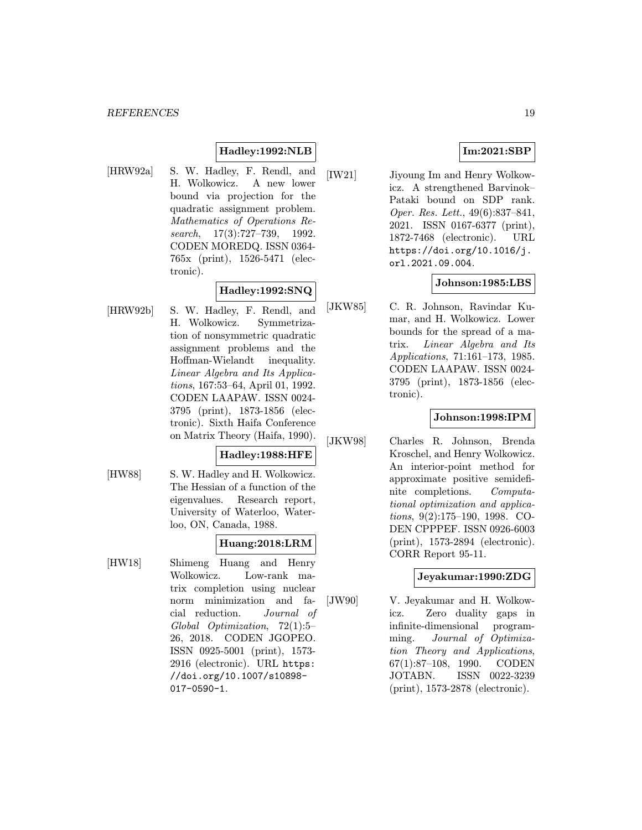## Hadley:1992:NLB

[HRW92a] S. W. Hadley, F. Rendl, and H. Wolkowicz. A new lower bound via projection for the quadratic assignment problem. Mathematics of Operations Research, 17(3):727–739, 1992. CODEN MOREDQ. ISSN 0364- 765x (print), 1526-5471 (electronic).

## Hadley:1992:SNQ

[HRW92b] S. W. Hadley, F. Rendl, and H. Wolkowicz. Symmetrization of nonsymmetric quadratic assignment problems and the Hoffman-Wielandt inequality. Linear Algebra and Its Applications, 167:53–64, April 01, 1992. CODEN LAAPAW. ISSN 0024- 3795 (print), 1873-1856 (electronic). Sixth Haifa Conference on Matrix Theory (Haifa, 1990).

### Hadley:1988:HFE

[HW88] S. W. Hadley and H. Wolkowicz. The Hessian of a function of the eigenvalues. Research report, University of Waterloo, Waterloo, ON, Canada, 1988.

## Huang:2018:LRM

[HW18] Shimeng Huang and Henry Wolkowicz. Low-rank matrix completion using nuclear norm minimization and facial reduction. Journal of Global Optimization, 72(1):5– 26, 2018. CODEN JGOPEO. ISSN 0925-5001 (print), 1573- 2916 (electronic). URL https: //doi.org/10.1007/s10898- 017-0590-1.

## Im:2021:SBP

[IW21] Jiyoung Im and Henry Wolkowicz. A strengthened Barvinok– Pataki bound on SDP rank. Oper. Res. Lett., 49(6):837–841, 2021. ISSN 0167-6377 (print), 1872-7468 (electronic). URL https://doi.org/10.1016/j. orl.2021.09.004.

## Johnson:1985:LBS

[JKW85] C. R. Johnson, Ravindar Kumar, and H. Wolkowicz. Lower bounds for the spread of a matrix. Linear Algebra and Its Applications, 71:161–173, 1985. CODEN LAAPAW. ISSN 0024- 3795 (print), 1873-1856 (electronic).

## Johnson:1998:IPM

[JKW98] Charles R. Johnson, Brenda Kroschel, and Henry Wolkowicz. An interior-point method for approximate positive semidefinite completions. Computational optimization and applications, 9(2):175–190, 1998. CO-DEN CPPPEF. ISSN 0926-6003 (print), 1573-2894 (electronic). CORR Report 95-11.

### Jeyakumar:1990:ZDG

[JW90] V. Jeyakumar and H. Wolkowicz. Zero duality gaps in infinite-dimensional programming. Journal of Optimization Theory and Applications, 67(1):87–108, 1990. CODEN JOTABN. ISSN 0022-3239 (print), 1573-2878 (electronic).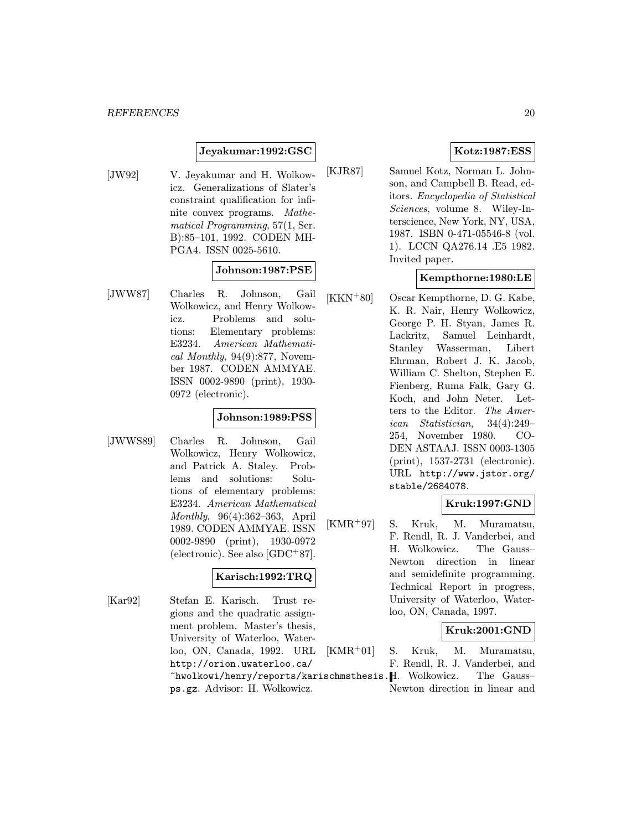### Jeyakumar:1992:GSC

[JW92] V. Jeyakumar and H. Wolkowicz. Generalizations of Slater's constraint qualification for infinite convex programs. Mathematical Programming, 57(1, Ser. B):85–101, 1992. CODEN MH-PGA4. ISSN 0025-5610.

### Johnson:1987:PSE

[JWW87] Charles R. Johnson, Gail Wolkowicz, and Henry Wolkowicz. Problems and solutions: Elementary problems: E3234. American Mathematical Monthly,  $94(9):877$ , November 1987. CODEN AMMYAE. ISSN 0002-9890 (print), 1930- 0972 (electronic).

#### Johnson:1989:PSS

[JWWS89] Charles R. Johnson, Gail Wolkowicz, Henry Wolkowicz, and Patrick A. Staley. Problems and solutions: Solutions of elementary problems: E3234. American Mathematical Monthly, 96(4):362–363, April 1989. CODEN AMMYAE. ISSN 0002-9890 (print), 1930-0972 (electronic). See also [GDC<sup>+</sup>87].

## Karisch:1992:TRQ

[Kar92] Stefan E. Karisch. Trust regions and the quadratic assignment problem. Master's thesis, University of Waterloo, Waterloo, ON, Canada, 1992. URL http://orion.uwaterloo.ca/

ps.gz. Advisor: H. Wolkowicz.

### Kotz:1987:ESS

[KJR87] Samuel Kotz, Norman L. Johnson, and Campbell B. Read, editors. Encyclopedia of Statistical Sciences, volume 8. Wiley-Interscience, New York, NY, USA, 1987. ISBN 0-471-05546-8 (vol. 1). LCCN QA276.14 .E5 1982. Invited paper.

## Kempthorne:1980:LE

[KKN<sup>+</sup>80] Oscar Kempthorne, D. G. Kabe, K. R. Nair, Henry Wolkowicz, George P. H. Styan, James R. Lackritz, Samuel Leinhardt, Stanley Wasserman, Libert Ehrman, Robert J. K. Jacob, William C. Shelton, Stephen E. Fienberg, Ruma Falk, Gary G. Koch, and John Neter. Letters to the Editor. The American Statistician, 34(4):249– 254, November 1980. CO-DEN ASTAAJ. ISSN 0003-1305 (print), 1537-2731 (electronic). URL http://www.jstor.org/ stable/2684078.

### Kruk:1997:GND

[KMR<sup>+</sup>97] S. Kruk, M. Muramatsu, F. Rendl, R. J. Vanderbei, and H. Wolkowicz. The Gauss– Newton direction in linear and semidefinite programming. Technical Report in progress, University of Waterloo, Waterloo, ON, Canada, 1997.

### Kruk:2001:GND

~hwolkowi/henry/reports/karischmsthesis. H. Wolkowicz. The Gauss– [KMR<sup>+</sup>01] S. Kruk, M. Muramatsu, F. Rendl, R. J. Vanderbei, and Newton direction in linear and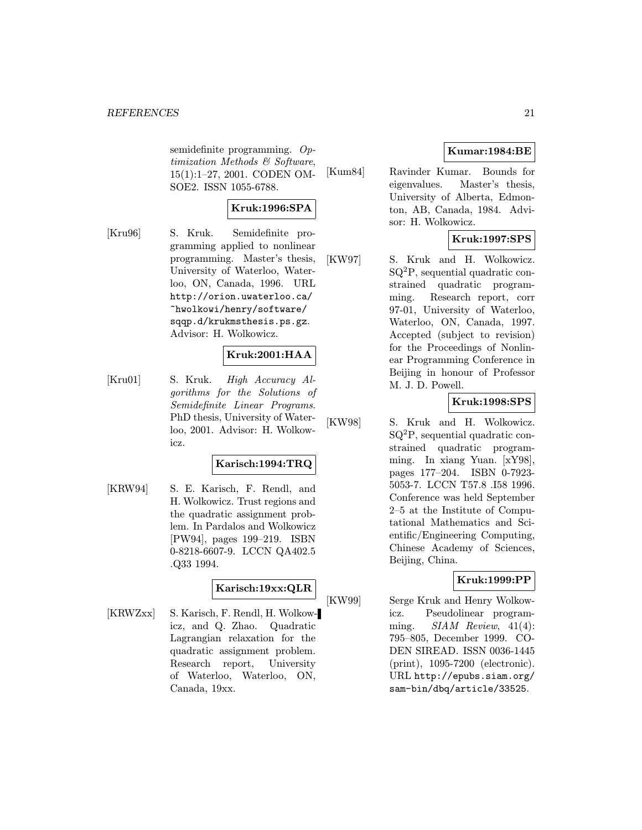semidefinite programming. Optimization Methods & Software, 15(1):1–27, 2001. CODEN OM-SOE2. ISSN 1055-6788.

## Kruk:1996:SPA

[Kru96] S. Kruk. Semidefinite programming applied to nonlinear programming. Master's thesis, University of Waterloo, Waterloo, ON, Canada, 1996. URL http://orion.uwaterloo.ca/ ~hwolkowi/henry/software/ sqqp.d/krukmsthesis.ps.gz. Advisor: H. Wolkowicz.

## Kruk:2001:HAA

[Kru01] S. Kruk. High Accuracy Algorithms for the Solutions of Semidefinite Linear Programs. PhD thesis, University of Waterloo, 2001. Advisor: H. Wolkowicz.

## Karisch:1994:TRQ

[KRW94] S. E. Karisch, F. Rendl, and H. Wolkowicz. Trust regions and the quadratic assignment problem. In Pardalos and Wolkowicz [PW94], pages 199–219. ISBN 0-8218-6607-9. LCCN QA402.5 .Q33 1994.

## Karisch:19xx:QLR

[KRWZxx] S. Karisch, F. Rendl, H. Wolkowicz, and Q. Zhao. Quadratic Lagrangian relaxation for the quadratic assignment problem. Research report, University of Waterloo, Waterloo, ON, Canada, 19xx.

## Kumar:1984:BE

[Kum84] Ravinder Kumar. Bounds for eigenvalues. Master's thesis, University of Alberta, Edmonton, AB, Canada, 1984. Advisor: H. Wolkowicz.

## Kruk:1997:SPS

[KW97] S. Kruk and H. Wolkowicz. SQ<sup>2</sup>P, sequential quadratic constrained quadratic programming. Research report, corr 97-01, University of Waterloo, Waterloo, ON, Canada, 1997. Accepted (subject to revision) for the Proceedings of Nonlinear Programming Conference in Beijing in honour of Professor M. J. D. Powell.

## Kruk:1998:SPS

[KW98] S. Kruk and H. Wolkowicz. SQ<sup>2</sup>P, sequential quadratic constrained quadratic programming. In xiang Yuan. [xY98], pages 177–204. ISBN 0-7923- 5053-7. LCCN T57.8 .I58 1996. Conference was held September 2–5 at the Institute of Computational Mathematics and Scientific/Engineering Computing, Chinese Academy of Sciences, Beijing, China.

## Kruk:1999:PP

[KW99] Serge Kruk and Henry Wolkowicz. Pseudolinear programming.  $SIAM$  Review, 41(4): 795–805, December 1999. CO-DEN SIREAD. ISSN 0036-1445 (print), 1095-7200 (electronic). URL http://epubs.siam.org/ sam-bin/dbq/article/33525.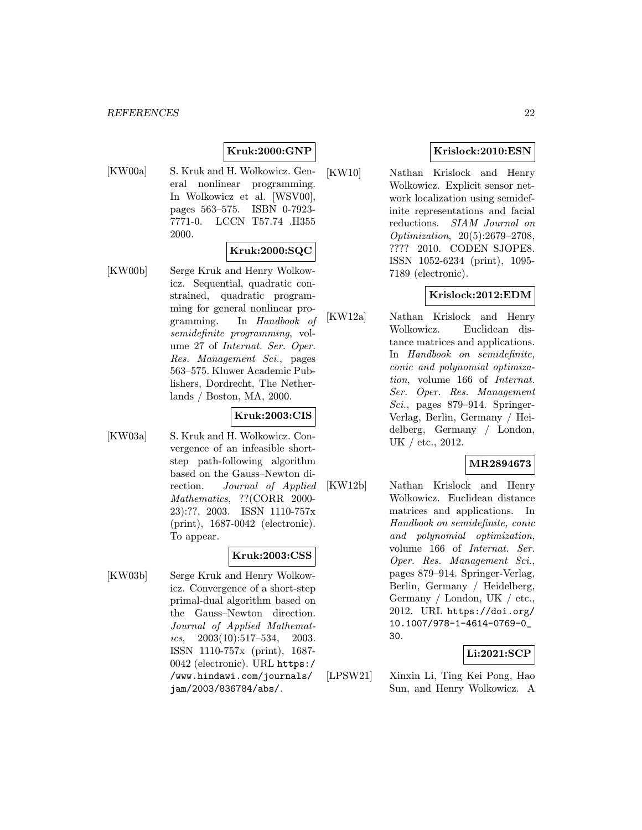## Kruk:2000:GNP

[KW00a] S. Kruk and H. Wolkowicz. General nonlinear programming. In Wolkowicz et al. [WSV00], pages 563–575. ISBN 0-7923- 7771-0. LCCN T57.74 .H355 2000.

### Kruk:2000:SQC

[KW00b] Serge Kruk and Henry Wolkowicz. Sequential, quadratic constrained, quadratic programming for general nonlinear programming. In Handbook of semidefinite programming, volume 27 of Internat. Ser. Oper. Res. Management Sci., pages 563–575. Kluwer Academic Publishers, Dordrecht, The Netherlands / Boston, MA, 2000.

#### Kruk:2003:CIS

[KW03a] S. Kruk and H. Wolkowicz. Convergence of an infeasible shortstep path-following algorithm based on the Gauss–Newton direction. Journal of Applied Mathematics, ??(CORR 2000- 23):??, 2003. ISSN 1110-757x (print), 1687-0042 (electronic). To appear.

#### Kruk:2003:CSS

[KW03b] Serge Kruk and Henry Wolkowicz. Convergence of a short-step primal-dual algorithm based on the Gauss–Newton direction. Journal of Applied Mathematics,  $2003(10):517-534$ ,  $2003$ . ISSN 1110-757x (print), 1687- 0042 (electronic). URL https:/ /www.hindawi.com/journals/ jam/2003/836784/abs/.

## Krislock:2010:ESN

[KW10] Nathan Krislock and Henry Wolkowicz. Explicit sensor network localization using semidefinite representations and facial reductions. SIAM Journal on Optimization, 20(5):2679–2708, ???? 2010. CODEN SJOPE8. ISSN 1052-6234 (print), 1095- 7189 (electronic).

### Krislock:2012:EDM

[KW12a] Nathan Krislock and Henry Wolkowicz. Euclidean distance matrices and applications. In Handbook on semidefinite, conic and polynomial optimization, volume 166 of Internat. Ser. Oper. Res. Management Sci., pages 879–914. Springer-Verlag, Berlin, Germany / Heidelberg, Germany / London, UK / etc., 2012.

## MR2894673

[KW12b] Nathan Krislock and Henry Wolkowicz. Euclidean distance matrices and applications. In Handbook on semidefinite, conic and polynomial optimization, volume 166 of Internat. Ser. Oper. Res. Management Sci., pages 879–914. Springer-Verlag, Berlin, Germany / Heidelberg, Germany / London, UK / etc., 2012. URL https://doi.org/ 10.1007/978-1-4614-0769-0\_ 30.

## Li:2021:SCP

[LPSW21] Xinxin Li, Ting Kei Pong, Hao Sun, and Henry Wolkowicz. A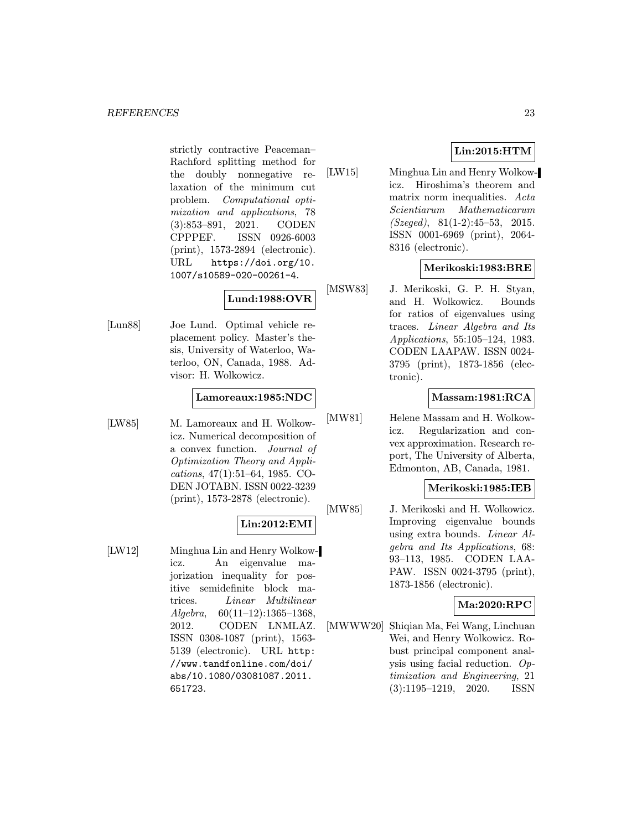strictly contractive Peaceman– Rachford splitting method for the doubly nonnegative relaxation of the minimum cut problem. Computational optimization and applications, 78 (3):853–891, 2021. CODEN CPPPEF. ISSN 0926-6003 (print), 1573-2894 (electronic). URL https://doi.org/10. 1007/s10589-020-00261-4.

## Lund:1988:OVR

[Lun88] Joe Lund. Optimal vehicle replacement policy. Master's thesis, University of Waterloo, Waterloo, ON, Canada, 1988. Advisor: H. Wolkowicz.

## Lamoreaux:1985:NDC

[LW85] M. Lamoreaux and H. Wolkowicz. Numerical decomposition of a convex function. Journal of Optimization Theory and Applications, 47(1):51–64, 1985. CO-DEN JOTABN. ISSN 0022-3239 (print), 1573-2878 (electronic).

## Lin:2012:EMI

[LW12] Minghua Lin and Henry Wolkowicz. An eigenvalue majorization inequality for positive semidefinite block matrices. Linear Multilinear  $Algebra, 60(11–12):1365–1368,$ 2012. CODEN LNMLAZ. ISSN 0308-1087 (print), 1563- 5139 (electronic). URL http: //www.tandfonline.com/doi/ abs/10.1080/03081087.2011. 651723.

## Lin:2015:HTM

[LW15] Minghua Lin and Henry Wolkowicz. Hiroshima's theorem and matrix norm inequalities. Acta Scientiarum Mathematicarum (Szeged), 81(1-2):45–53, 2015. ISSN 0001-6969 (print), 2064- 8316 (electronic).

## Merikoski:1983:BRE

[MSW83] J. Merikoski, G. P. H. Styan, and H. Wolkowicz. Bounds for ratios of eigenvalues using traces. Linear Algebra and Its Applications, 55:105–124, 1983. CODEN LAAPAW. ISSN 0024- 3795 (print), 1873-1856 (electronic).

## Massam:1981:RCA

[MW81] Helene Massam and H. Wolkowicz. Regularization and convex approximation. Research report, The University of Alberta, Edmonton, AB, Canada, 1981.

## Merikoski:1985:IEB

[MW85] J. Merikoski and H. Wolkowicz. Improving eigenvalue bounds using extra bounds. Linear Algebra and Its Applications, 68: 93–113, 1985. CODEN LAA-PAW. ISSN 0024-3795 (print), 1873-1856 (electronic).

## Ma:2020:RPC

[MWWW20] Shiqian Ma, Fei Wang, Linchuan Wei, and Henry Wolkowicz. Robust principal component analysis using facial reduction. Optimization and Engineering, 21 (3):1195–1219, 2020. ISSN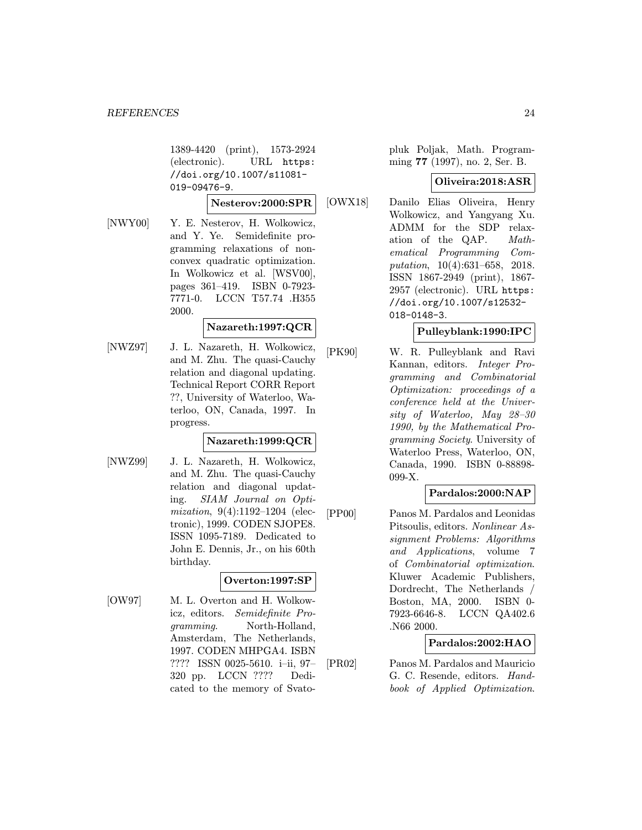1389-4420 (print), 1573-2924 (electronic). URL https: //doi.org/10.1007/s11081- 019-09476-9.

#### Nesterov:2000:SPR

[NWY00] Y. E. Nesterov, H. Wolkowicz, and Y. Ye. Semidefinite programming relaxations of nonconvex quadratic optimization. In Wolkowicz et al. [WSV00], pages 361–419. ISBN 0-7923- 7771-0. LCCN T57.74 .H355 2000.

## Nazareth:1997:QCR

[NWZ97] J. L. Nazareth, H. Wolkowicz, and M. Zhu. The quasi-Cauchy relation and diagonal updating. Technical Report CORR Report ??, University of Waterloo, Waterloo, ON, Canada, 1997. In progress.

### Nazareth:1999:QCR

[NWZ99] J. L. Nazareth, H. Wolkowicz, and M. Zhu. The quasi-Cauchy relation and diagonal updating. SIAM Journal on Optimization, 9(4):1192–1204 (electronic), 1999. CODEN SJOPE8. ISSN 1095-7189. Dedicated to John E. Dennis, Jr., on his 60th birthday.

## Overton:1997:SP

[OW97] M. L. Overton and H. Wolkowicz, editors. Semidefinite Programming. North-Holland, Amsterdam, The Netherlands, 1997. CODEN MHPGA4. ISBN ???? ISSN 0025-5610. i–ii, 97– 320 pp. LCCN ???? Dedicated to the memory of Svato-

pluk Poljak, Math. Programming 77 (1997), no. 2, Ser. B.

### Oliveira:2018:ASR

[OWX18] Danilo Elias Oliveira, Henry Wolkowicz, and Yangyang Xu. ADMM for the SDP relaxation of the QAP. Mathematical Programming Computation, 10(4):631–658, 2018. ISSN 1867-2949 (print), 1867- 2957 (electronic). URL https: //doi.org/10.1007/s12532- 018-0148-3.

## Pulleyblank:1990:IPC

[PK90] W. R. Pulleyblank and Ravi Kannan, editors. Integer Programming and Combinatorial Optimization: proceedings of a conference held at the University of Waterloo, May 28–30 1990, by the Mathematical Programming Society. University of Waterloo Press, Waterloo, ON, Canada, 1990. ISBN 0-88898- 099-X.

### Pardalos:2000:NAP

[PP00] Panos M. Pardalos and Leonidas Pitsoulis, editors. Nonlinear Assignment Problems: Algorithms and Applications, volume 7 of Combinatorial optimization. Kluwer Academic Publishers, Dordrecht, The Netherlands / Boston, MA, 2000. ISBN 0- 7923-6646-8. LCCN QA402.6 .N66 2000.

## Pardalos:2002:HAO

[PR02] Panos M. Pardalos and Mauricio G. C. Resende, editors. Handbook of Applied Optimization.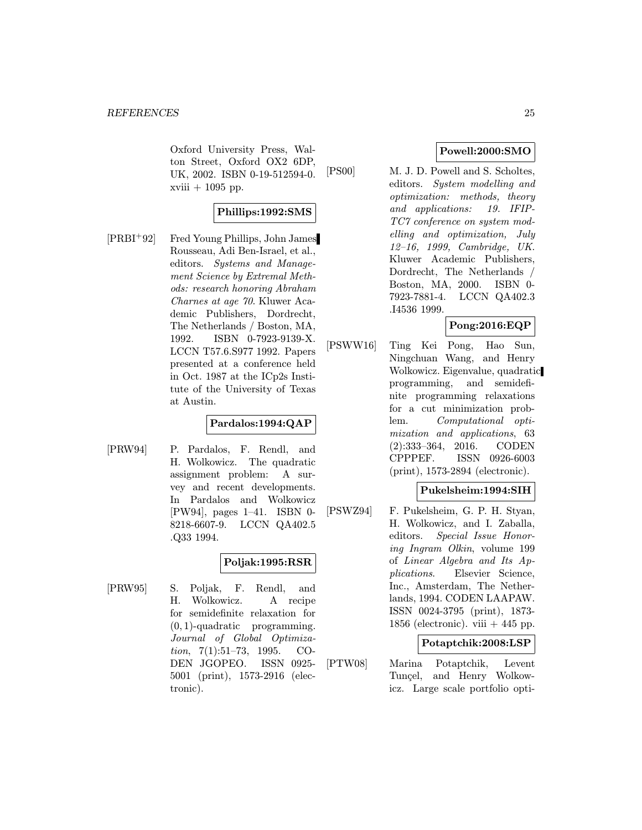Oxford University Press, Walton Street, Oxford OX2 6DP, UK, 2002. ISBN 0-19-512594-0.  $xviii + 1095$  pp.

## Phillips:1992:SMS

[PRBI<sup>+</sup>92] Fred Young Phillips, John James Rousseau, Adi Ben-Israel, et al., editors. Systems and Management Science by Extremal Methods: research honoring Abraham Charnes at age 70. Kluwer Academic Publishers, Dordrecht, The Netherlands / Boston, MA, 1992. ISBN 0-7923-9139-X. LCCN T57.6.S977 1992. Papers presented at a conference held in Oct. 1987 at the ICp2s Institute of the University of Texas at Austin.

### Pardalos:1994:QAP

[PRW94] P. Pardalos, F. Rendl, and H. Wolkowicz. The quadratic assignment problem: A survey and recent developments. In Pardalos and Wolkowicz [PW94], pages 1–41. ISBN 0- 8218-6607-9. LCCN QA402.5 .Q33 1994.

## Poljak:1995:RSR

[PRW95] S. Poljak, F. Rendl, and H. Wolkowicz. A recipe for semidefinite relaxation for  $(0, 1)$ -quadratic programming. Journal of Global Optimization, 7(1):51–73, 1995. CO-DEN JGOPEO. ISSN 0925- 5001 (print), 1573-2916 (electronic).

## Powell:2000:SMO

[PS00] M. J. D. Powell and S. Scholtes, editors. System modelling and optimization: methods, theory and applications: 19. IFIP-TC7 conference on system modelling and optimization, July 12–16, 1999, Cambridge, UK. Kluwer Academic Publishers, Dordrecht, The Netherlands Boston, MA, 2000. ISBN 0- 7923-7881-4. LCCN QA402.3 .I4536 1999.

## Pong:2016:EQP

[PSWW16] Ting Kei Pong, Hao Sun, Ningchuan Wang, and Henry Wolkowicz. Eigenvalue, quadratic programming, and semidefinite programming relaxations for a cut minimization problem. Computational optimization and applications, 63 (2):333–364, 2016. CODEN CPPPEF. ISSN 0926-6003 (print), 1573-2894 (electronic).

## Pukelsheim:1994:SIH

[PSWZ94] F. Pukelsheim, G. P. H. Styan, H. Wolkowicz, and I. Zaballa, editors. Special Issue Honoring Ingram Olkin, volume 199 of Linear Algebra and Its Applications. Elsevier Science, Inc., Amsterdam, The Netherlands, 1994. CODEN LAAPAW. ISSN 0024-3795 (print), 1873- 1856 (electronic). viii  $+445$  pp.

### Potaptchik:2008:LSP

[PTW08] Marina Potaptchik, Levent Tuncel, and Henry Wolkowicz. Large scale portfolio opti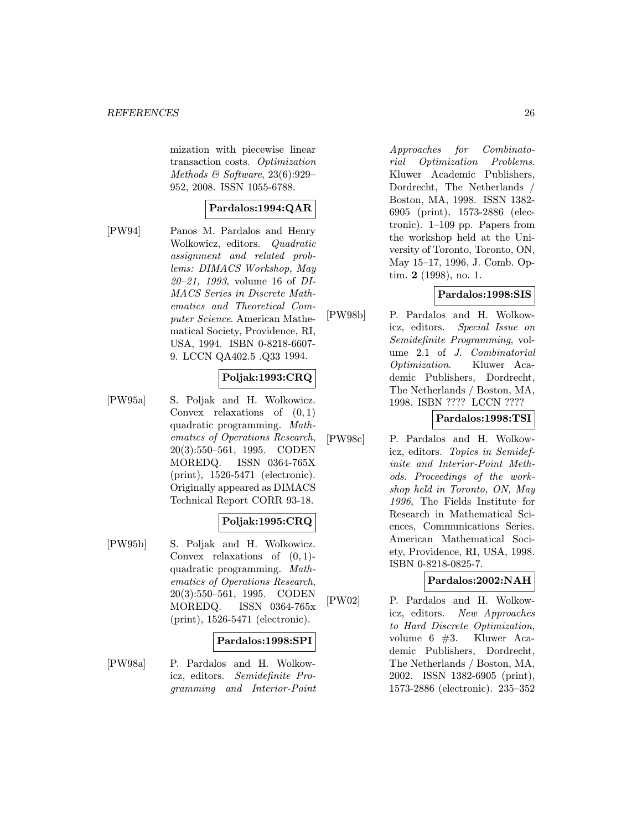mization with piecewise linear transaction costs. Optimization Methods  $\mathcal C$  Software, 23(6):929– 952, 2008. ISSN 1055-6788.

## Pardalos:1994:QAR

[PW94] Panos M. Pardalos and Henry Wolkowicz, editors. Quadratic assignment and related problems: DIMACS Workshop, May 20–21, 1993, volume 16 of DI-MACS Series in Discrete Mathematics and Theoretical Computer Science. American Mathematical Society, Providence, RI, USA, 1994. ISBN 0-8218-6607- 9. LCCN QA402.5 .Q33 1994.

## Poljak:1993:CRQ

[PW95a] S. Poljak and H. Wolkowicz. Convex relaxations of  $(0, 1)$ quadratic programming. Mathematics of Operations Research, 20(3):550–561, 1995. CODEN MOREDQ. ISSN 0364-765X (print), 1526-5471 (electronic). Originally appeared as DIMACS Technical Report CORR 93-18.

## Poljak:1995:CRQ

[PW95b] S. Poljak and H. Wolkowicz. Convex relaxations of (0, 1) quadratic programming. Mathematics of Operations Research, 20(3):550–561, 1995. CODEN MOREDQ. ISSN 0364-765x (print), 1526-5471 (electronic).

### Pardalos:1998:SPI

[PW98a] P. Pardalos and H. Wolkowicz, editors. Semidefinite Programming and Interior-Point Approaches for Combinatorial Optimization Problems. Kluwer Academic Publishers, Dordrecht, The Netherlands Boston, MA, 1998. ISSN 1382- 6905 (print), 1573-2886 (electronic). 1–109 pp. Papers from the workshop held at the University of Toronto, Toronto, ON, May 15–17, 1996, J. Comb. Optim. 2 (1998), no. 1.

## Pardalos:1998:SIS

[PW98b] P. Pardalos and H. Wolkowicz, editors. Special Issue on Semidefinite Programming, volume 2.1 of J. Combinatorial Optimization. Kluwer Academic Publishers, Dordrecht, The Netherlands / Boston, MA, 1998. ISBN ???? LCCN ????

## Pardalos:1998:TSI

[PW98c] P. Pardalos and H. Wolkowicz, editors. Topics in Semidefinite and Interior-Point Methods. Proceedings of the workshop held in Toronto, ON, May 1996, The Fields Institute for Research in Mathematical Sciences, Communications Series. American Mathematical Society, Providence, RI, USA, 1998. ISBN 0-8218-0825-7.

## Pardalos:2002:NAH

[PW02] P. Pardalos and H. Wolkowicz, editors. New Approaches to Hard Discrete Optimization, volume 6 #3. Kluwer Academic Publishers, Dordrecht, The Netherlands / Boston, MA, 2002. ISSN 1382-6905 (print), 1573-2886 (electronic). 235–352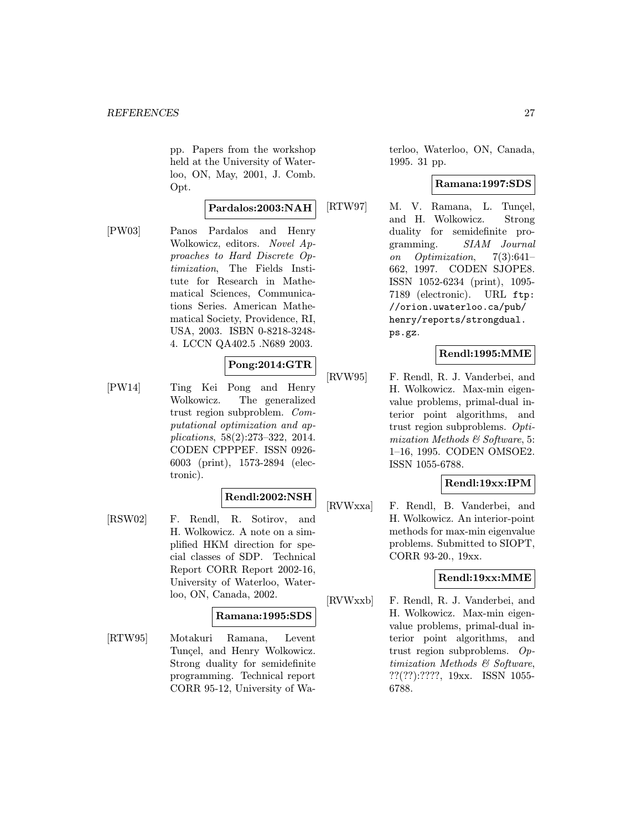pp. Papers from the workshop held at the University of Waterloo, ON, May, 2001, J. Comb. Opt.

#### Pardalos:2003:NAH

[PW03] Panos Pardalos and Henry Wolkowicz, editors. Novel Approaches to Hard Discrete Optimization, The Fields Institute for Research in Mathematical Sciences, Communications Series. American Mathematical Society, Providence, RI, USA, 2003. ISBN 0-8218-3248- 4. LCCN QA402.5 .N689 2003.

## Pong:2014:GTR

[PW14] Ting Kei Pong and Henry Wolkowicz. The generalized trust region subproblem. Computational optimization and applications, 58(2):273–322, 2014. CODEN CPPPEF. ISSN 0926- 6003 (print), 1573-2894 (electronic).

### Rendl:2002:NSH

[RSW02] F. Rendl, R. Sotirov, and H. Wolkowicz. A note on a simplified HKM direction for special classes of SDP. Technical Report CORR Report 2002-16, University of Waterloo, Waterloo, ON, Canada, 2002.

## Ramana:1995:SDS

[RTW95] Motakuri Ramana, Levent Tuncel, and Henry Wolkowicz. Strong duality for semidefinite programming. Technical report CORR 95-12, University of Waterloo, Waterloo, ON, Canada, 1995. 31 pp.

## Ramana:1997:SDS

[RTW97] M. V. Ramana, L. Tunçel, and H. Wolkowicz. Strong duality for semidefinite programming. SIAM Journal on Optimization, 7(3):641– 662, 1997. CODEN SJOPE8. ISSN 1052-6234 (print), 1095- 7189 (electronic). URL ftp: //orion.uwaterloo.ca/pub/ henry/reports/strongdual. ps.gz.

## Rendl:1995:MME

[RVW95] F. Rendl, R. J. Vanderbei, and H. Wolkowicz. Max-min eigenvalue problems, primal-dual interior point algorithms, and trust region subproblems. Optimization Methods & Software, 5: 1–16, 1995. CODEN OMSOE2. ISSN 1055-6788.

## Rendl:19xx:IPM

[RVWxxa] F. Rendl, B. Vanderbei, and H. Wolkowicz. An interior-point methods for max-min eigenvalue problems. Submitted to SIOPT, CORR 93-20., 19xx.

### Rendl:19xx:MME

[RVWxxb] F. Rendl, R. J. Vanderbei, and H. Wolkowicz. Max-min eigenvalue problems, primal-dual interior point algorithms, and trust region subproblems. Optimization Methods & Software, ??(??):????, 19xx. ISSN 1055- 6788.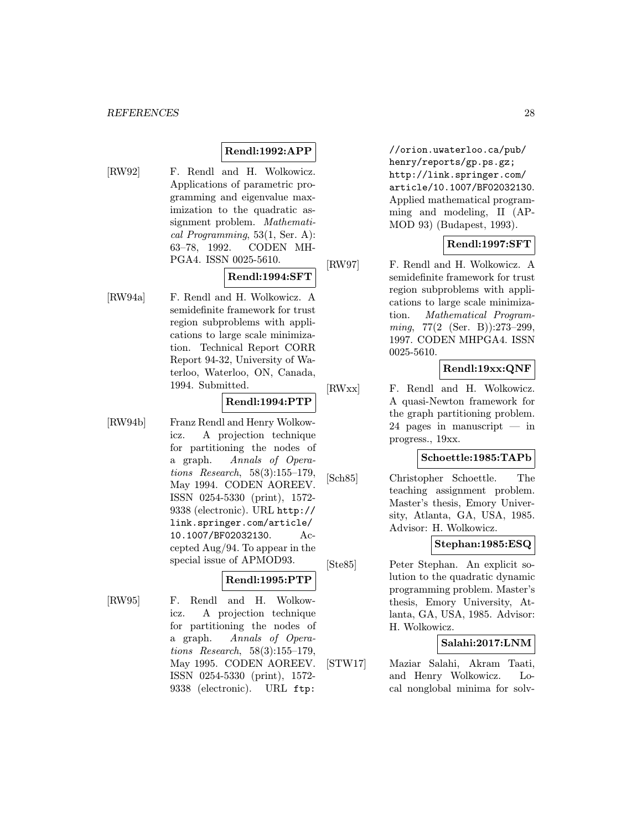## Rendl:1992:APP

[RW92] F. Rendl and H. Wolkowicz.

Applications of parametric programming and eigenvalue maximization to the quadratic assignment problem. Mathematical Programming, 53(1, Ser. A): 63–78, 1992. CODEN MH-PGA4. ISSN 0025-5610.

### Rendl:1994:SFT

[RW94a] F. Rendl and H. Wolkowicz. A semidefinite framework for trust region subproblems with applications to large scale minimization. Technical Report CORR Report 94-32, University of Waterloo, Waterloo, ON, Canada, 1994. Submitted.

## Rendl:1994:PTP

[RW94b] Franz Rendl and Henry Wolkowicz. A projection technique for partitioning the nodes of a graph. Annals of Operations Research, 58(3):155–179, May 1994. CODEN AOREEV. ISSN 0254-5330 (print), 1572- 9338 (electronic). URL http:// link.springer.com/article/ 10.1007/BF02032130. Accepted Aug/94. To appear in the special issue of APMOD93.

## Rendl:1995:PTP

[RW95] F. Rendl and H. Wolkowicz. A projection technique for partitioning the nodes of a graph. Annals of Operations Research, 58(3):155–179, May 1995. CODEN AOREEV. ISSN 0254-5330 (print), 1572- 9338 (electronic). URL ftp:

//orion.uwaterloo.ca/pub/ henry/reports/gp.ps.gz; http://link.springer.com/ article/10.1007/BF02032130. Applied mathematical programming and modeling, II (AP-MOD 93) (Budapest, 1993).

## Rendl:1997:SFT

[RW97] F. Rendl and H. Wolkowicz. A semidefinite framework for trust region subproblems with applications to large scale minimization. Mathematical Programming, 77(2 (Ser. B)):273–299, 1997. CODEN MHPGA4. ISSN 0025-5610.

## Rendl:19xx:QNF

[RWxx] F. Rendl and H. Wolkowicz. A quasi-Newton framework for the graph partitioning problem. 24 pages in manuscript — in progress., 19xx.

#### Schoettle:1985:TAPb

[Sch85] Christopher Schoettle. The teaching assignment problem. Master's thesis, Emory University, Atlanta, GA, USA, 1985. Advisor: H. Wolkowicz.

### Stephan:1985:ESQ

[Ste85] Peter Stephan. An explicit solution to the quadratic dynamic programming problem. Master's thesis, Emory University, Atlanta, GA, USA, 1985. Advisor: H. Wolkowicz.

## Salahi:2017:LNM

[STW17] Maziar Salahi, Akram Taati, and Henry Wolkowicz. Local nonglobal minima for solv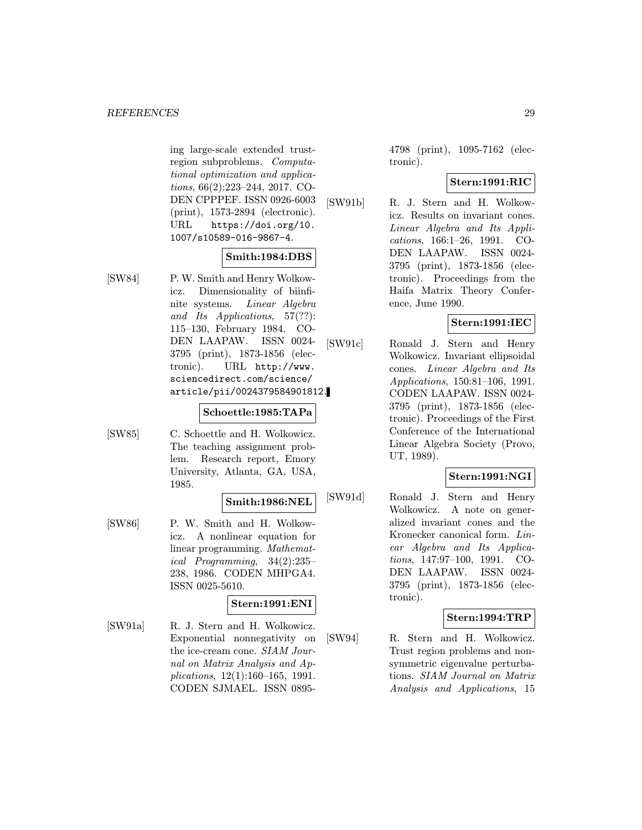ing large-scale extended trustregion subproblems. Computational optimization and applications, 66(2):223–244, 2017. CO-DEN CPPPEF. ISSN 0926-6003 (print), 1573-2894 (electronic). URL https://doi.org/10. 1007/s10589-016-9867-4.

## Smith:1984:DBS

[SW84] P. W. Smith and Henry Wolkowicz. Dimensionality of biinfinite systems. Linear Algebra and Its Applications, 57(??): 115–130, February 1984. CO-DEN LAAPAW. ISSN 0024- 3795 (print), 1873-1856 (electronic). URL http://www. sciencedirect.com/science/ article/pii/0024379584901812.

## Schoettle:1985:TAPa

[SW85] C. Schoettle and H. Wolkowicz. The teaching assignment problem. Research report, Emory University, Atlanta, GA, USA, 1985.

## Smith:1986:NEL

[SW86] P. W. Smith and H. Wolkowicz. A nonlinear equation for linear programming. Mathematical Programming, 34(2):235– 238, 1986. CODEN MHPGA4. ISSN 0025-5610.

## Stern:1991:ENI

[SW91a] R. J. Stern and H. Wolkowicz. Exponential nonnegativity on the ice-cream cone. SIAM Journal on Matrix Analysis and Applications, 12(1):160–165, 1991. CODEN SJMAEL. ISSN 08954798 (print), 1095-7162 (electronic).

## Stern:1991:RIC

[SW91b] R. J. Stern and H. Wolkowicz. Results on invariant cones. Linear Algebra and Its Applications, 166:1–26, 1991. CO-DEN LAAPAW. ISSN 0024- 3795 (print), 1873-1856 (electronic). Proceedings from the Haifa Matrix Theory Conference, June 1990.

## Stern:1991:IEC

[SW91c] Ronald J. Stern and Henry Wolkowicz. Invariant ellipsoidal cones. Linear Algebra and Its Applications, 150:81–106, 1991. CODEN LAAPAW. ISSN 0024- 3795 (print), 1873-1856 (electronic). Proceedings of the First Conference of the International Linear Algebra Society (Provo, UT, 1989).

## Stern:1991:NGI

[SW91d] Ronald J. Stern and Henry Wolkowicz. A note on generalized invariant cones and the Kronecker canonical form. Linear Algebra and Its Applications, 147:97–100, 1991. CO-DEN LAAPAW. ISSN 0024- 3795 (print), 1873-1856 (electronic).

## Stern:1994:TRP

[SW94] R. Stern and H. Wolkowicz. Trust region problems and nonsymmetric eigenvalue perturbations. SIAM Journal on Matrix Analysis and Applications, 15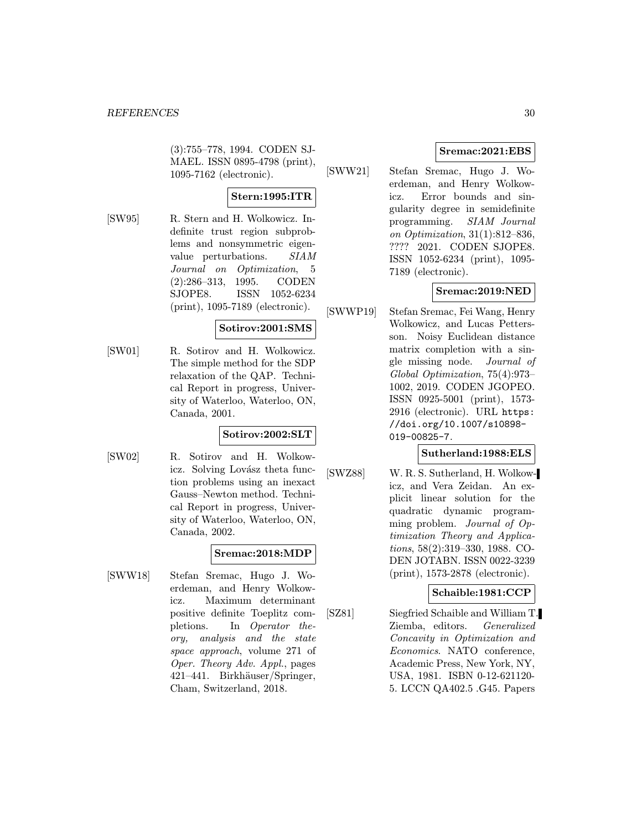(3):755–778, 1994. CODEN SJ-MAEL. ISSN 0895-4798 (print), 1095-7162 (electronic).

## Stern:1995:ITR

[SW95] R. Stern and H. Wolkowicz. Indefinite trust region subproblems and nonsymmetric eigenvalue perturbations. SIAM Journal on Optimization, 5 (2):286–313, 1995. CODEN SJOPE8. ISSN 1052-6234 (print), 1095-7189 (electronic).

## Sotirov:2001:SMS

[SW01] R. Sotirov and H. Wolkowicz. The simple method for the SDP relaxation of the QAP. Technical Report in progress, University of Waterloo, Waterloo, ON, Canada, 2001.

## Sotirov:2002:SLT

[SW02] R. Sotirov and H. Wolkowicz. Solving Lovász theta function problems using an inexact Gauss–Newton method. Technical Report in progress, University of Waterloo, Waterloo, ON, Canada, 2002.

## Sremac:2018:MDP

[SWW18] Stefan Sremac, Hugo J. Woerdeman, and Henry Wolkowicz. Maximum determinant positive definite Toeplitz completions. In Operator theory, analysis and the state space approach, volume 271 of Oper. Theory Adv. Appl., pages 421–441. Birkhäuser/Springer, Cham, Switzerland, 2018.

## Sremac:2021:EBS

[SWW21] Stefan Sremac, Hugo J. Woerdeman, and Henry Wolkowicz. Error bounds and singularity degree in semidefinite programming. SIAM Journal on Optimization, 31(1):812–836, ???? 2021. CODEN SJOPE8. ISSN 1052-6234 (print), 1095- 7189 (electronic).

## Sremac:2019:NED

[SWWP19] Stefan Sremac, Fei Wang, Henry Wolkowicz, and Lucas Pettersson. Noisy Euclidean distance matrix completion with a single missing node. Journal of Global Optimization, 75(4):973– 1002, 2019. CODEN JGOPEO. ISSN 0925-5001 (print), 1573- 2916 (electronic). URL https: //doi.org/10.1007/s10898- 019-00825-7.

## Sutherland:1988:ELS

[SWZ88] W. R. S. Sutherland, H. Wolkowicz, and Vera Zeidan. An explicit linear solution for the quadratic dynamic programming problem. Journal of Optimization Theory and Applications, 58(2):319–330, 1988. CO-DEN JOTABN. ISSN 0022-3239 (print), 1573-2878 (electronic).

## Schaible:1981:CCP

[SZ81] Siegfried Schaible and William T. Ziemba, editors. Generalized Concavity in Optimization and Economics. NATO conference, Academic Press, New York, NY, USA, 1981. ISBN 0-12-621120- 5. LCCN QA402.5 .G45. Papers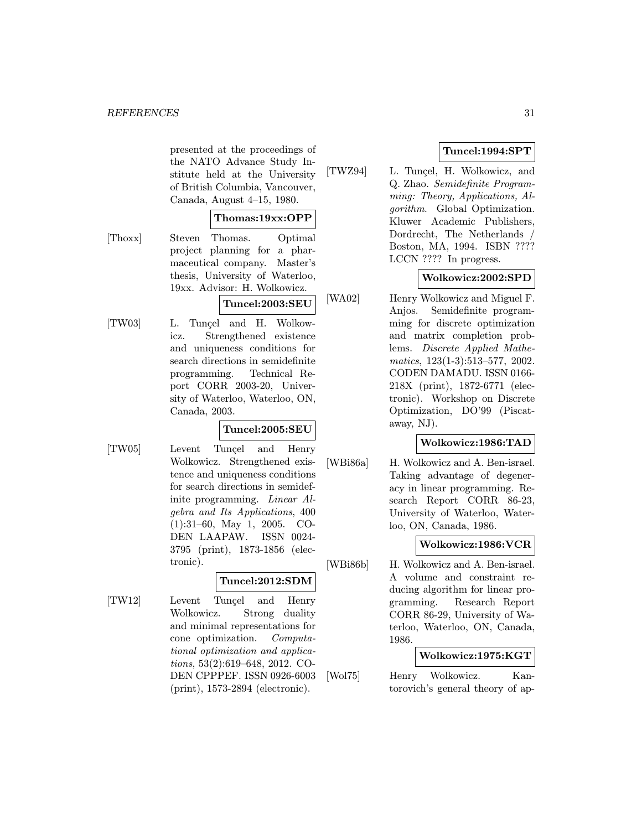presented at the proceedings of the NATO Advance Study Institute held at the University of British Columbia, Vancouver, Canada, August 4–15, 1980.

### Thomas:19xx:OPP

[Thoxx] Steven Thomas. Optimal project planning for a pharmaceutical company. Master's thesis, University of Waterloo, 19xx. Advisor: H. Wolkowicz.

Tuncel:2003:SEU

- 
- [TW03] L. Tunçel and H. Wolkowicz. Strengthened existence and uniqueness conditions for search directions in semidefinite programming. Technical Report CORR 2003-20, University of Waterloo, Waterloo, ON, Canada, 2003.

## Tuncel:2005:SEU

[TW05] Levent Tunçel and Henry Wolkowicz. Strengthened existence and uniqueness conditions for search directions in semidefinite programming. Linear Algebra and Its Applications, 400 (1):31–60, May 1, 2005. CO-DEN LAAPAW. ISSN 0024- 3795 (print), 1873-1856 (electronic).

## Tuncel:2012:SDM

[TW12] Levent Tunçel and Henry Wolkowicz. Strong duality and minimal representations for cone optimization. Computational optimization and applications, 53(2):619–648, 2012. CO-DEN CPPPEF. ISSN 0926-6003 (print), 1573-2894 (electronic).

## Tuncel:1994:SPT

[TWZ94] L. Tunçel, H. Wolkowicz, and Q. Zhao. Semidefinite Programming: Theory, Applications, Algorithm. Global Optimization. Kluwer Academic Publishers, Dordrecht, The Netherlands Boston, MA, 1994. ISBN ???? LCCN ???? In progress.

## Wolkowicz:2002:SPD

[WA02] Henry Wolkowicz and Miguel F. Anjos. Semidefinite programming for discrete optimization and matrix completion problems. Discrete Applied Mathematics, 123(1-3):513–577, 2002. CODEN DAMADU. ISSN 0166- 218X (print), 1872-6771 (electronic). Workshop on Discrete Optimization, DO'99 (Piscataway, NJ).

## Wolkowicz:1986:TAD

[WBi86a] H. Wolkowicz and A. Ben-israel. Taking advantage of degeneracy in linear programming. Research Report CORR 86-23, University of Waterloo, Waterloo, ON, Canada, 1986.

## Wolkowicz:1986:VCR

[WBi86b] H. Wolkowicz and A. Ben-israel. A volume and constraint reducing algorithm for linear programming. Research Report CORR 86-29, University of Waterloo, Waterloo, ON, Canada, 1986.

## Wolkowicz:1975:KGT

[Wol75] Henry Wolkowicz. Kantorovich's general theory of ap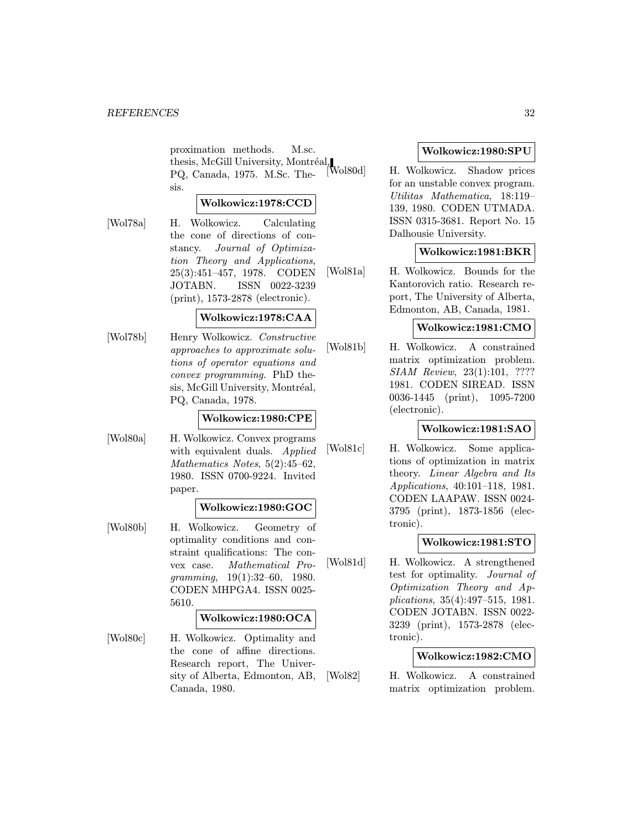proximation methods. M.sc. thesis, McGill University, Montréal,  $\bigcup_{\text{DO}}$  Canada,  $1075$ , M.So, The [Wol80d] PQ, Canada, 1975. M.Sc. Thesis.

## Wolkowicz:1978:CCD

[Wol78a] H. Wolkowicz. Calculating the cone of directions of constancy. Journal of Optimization Theory and Applications, 25(3):451–457, 1978. CODEN JOTABN. ISSN 0022-3239 (print), 1573-2878 (electronic).

### Wolkowicz:1978:CAA

[Wol78b] Henry Wolkowicz. Constructive approaches to approximate solutions of operator equations and convex programming. PhD thesis, McGill University, Montréal, PQ, Canada, 1978.

### Wolkowicz:1980:CPE

[Wol80a] H. Wolkowicz. Convex programs with equivalent duals. Applied Mathematics Notes, 5(2):45–62, 1980. ISSN 0700-9224. Invited paper.

#### Wolkowicz:1980:GOC

[Wol80b] H. Wolkowicz. Geometry of optimality conditions and constraint qualifications: The convex case. Mathematical Pro $gramming, 19(1):32–60, 1980.$ CODEN MHPGA4. ISSN 0025- 5610.

#### Wolkowicz:1980:OCA

[Wol80c] H. Wolkowicz. Optimality and the cone of affine directions. Research report, The University of Alberta, Edmonton, AB, Canada, 1980.

### Wolkowicz:1980:SPU

[Wol80d] H. Wolkowicz. Shadow prices for an unstable convex program. Utilitas Mathematica, 18:119– 139, 1980. CODEN UTMADA. ISSN 0315-3681. Report No. 15 Dalhousie University.

#### Wolkowicz:1981:BKR

[Wol81a] H. Wolkowicz. Bounds for the Kantorovich ratio. Research report, The University of Alberta, Edmonton, AB, Canada, 1981.

## Wolkowicz:1981:CMO

[Wol81b] H. Wolkowicz. A constrained matrix optimization problem. SIAM Review, 23(1):101, ???? 1981. CODEN SIREAD. ISSN 0036-1445 (print), 1095-7200 (electronic).

### Wolkowicz:1981:SAO

[Wol81c] H. Wolkowicz. Some applications of optimization in matrix theory. Linear Algebra and Its Applications, 40:101–118, 1981. CODEN LAAPAW. ISSN 0024- 3795 (print), 1873-1856 (electronic).

#### Wolkowicz:1981:STO

[Wol81d] H. Wolkowicz. A strengthened test for optimality. Journal of Optimization Theory and Applications, 35(4):497–515, 1981. CODEN JOTABN. ISSN 0022- 3239 (print), 1573-2878 (electronic).

## Wolkowicz:1982:CMO

[Wol82] H. Wolkowicz. A constrained matrix optimization problem.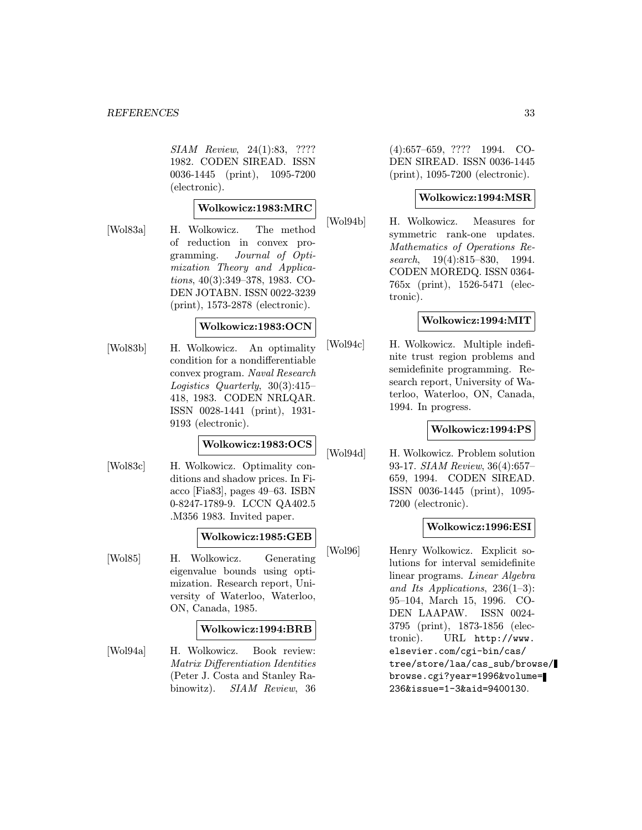SIAM Review, 24(1):83, ???? 1982. CODEN SIREAD. ISSN 0036-1445 (print), 1095-7200 (electronic).

### Wolkowicz:1983:MRC

- 
- [Wol83a] H. Wolkowicz. The method of reduction in convex programming. Journal of Optimization Theory and Applications, 40(3):349–378, 1983. CO-DEN JOTABN. ISSN 0022-3239 (print), 1573-2878 (electronic).

### Wolkowicz:1983:OCN

[Wol83b] H. Wolkowicz. An optimality condition for a nondifferentiable convex program. Naval Research Logistics Quarterly, 30(3):415– 418, 1983. CODEN NRLQAR. ISSN 0028-1441 (print), 1931- 9193 (electronic).

## Wolkowicz:1983:OCS

[Wol83c] H. Wolkowicz. Optimality conditions and shadow prices. In Fiacco [Fia83], pages 49–63. ISBN 0-8247-1789-9. LCCN QA402.5 .M356 1983. Invited paper.

### Wolkowicz:1985:GEB

[Wol85] H. Wolkowicz. Generating eigenvalue bounds using optimization. Research report, University of Waterloo, Waterloo, ON, Canada, 1985.

### Wolkowicz:1994:BRB

[Wol94a] H. Wolkowicz. Book review: Matrix Differentiation Identities (Peter J. Costa and Stanley Rabinowitz). SIAM Review, 36

(4):657–659, ???? 1994. CO-DEN SIREAD. ISSN 0036-1445 (print), 1095-7200 (electronic).

#### Wolkowicz:1994:MSR

[Wol94b] H. Wolkowicz. Measures for symmetric rank-one updates. Mathematics of Operations Research, 19(4):815–830, 1994. CODEN MOREDQ. ISSN 0364- 765x (print), 1526-5471 (electronic).

### Wolkowicz:1994:MIT

[Wol94c] H. Wolkowicz. Multiple indefinite trust region problems and semidefinite programming. Research report, University of Waterloo, Waterloo, ON, Canada, 1994. In progress.

### Wolkowicz:1994:PS

[Wol94d] H. Wolkowicz. Problem solution 93-17. SIAM Review, 36(4):657– 659, 1994. CODEN SIREAD. ISSN 0036-1445 (print), 1095- 7200 (electronic).

### Wolkowicz:1996:ESI

[Wol96] Henry Wolkowicz. Explicit solutions for interval semidefinite linear programs. Linear Algebra and Its Applications, 236(1–3): 95–104, March 15, 1996. CO-DEN LAAPAW. ISSN 0024- 3795 (print), 1873-1856 (electronic). URL http://www. elsevier.com/cgi-bin/cas/ tree/store/laa/cas\_sub/browse/ browse.cgi?year=1996&volume= 236&issue=1-3&aid=9400130.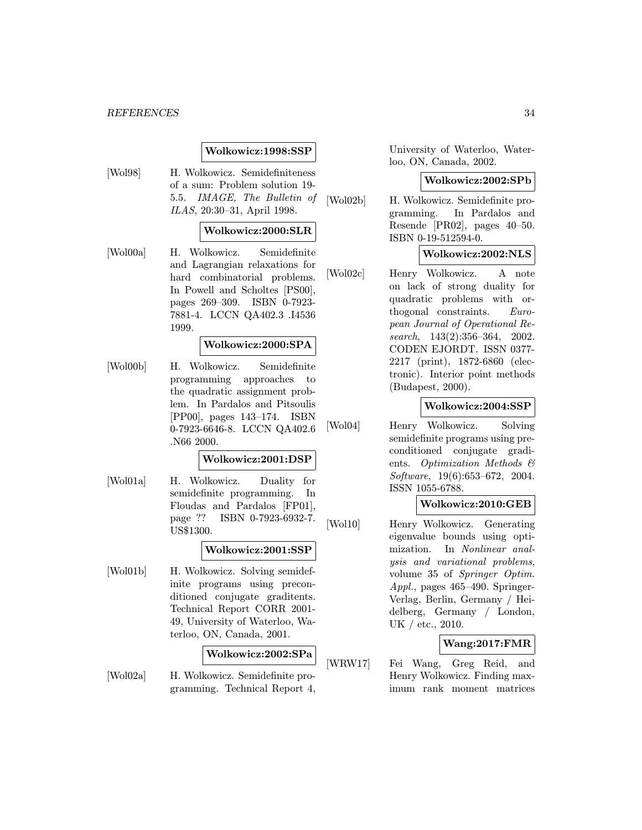#### REFERENCES 34

#### Wolkowicz:1998:SSP

[Wol98] H. Wolkowicz. Semidefiniteness of a sum: Problem solution 19- 5.5. IMAGE, The Bulletin of ILAS, 20:30–31, April 1998.

#### Wolkowicz:2000:SLR

[Wol00a] H. Wolkowicz. Semidefinite and Lagrangian relaxations for hard combinatorial problems. In Powell and Scholtes [PS00], pages 269–309. ISBN 0-7923- 7881-4. LCCN QA402.3 .I4536 1999.

## Wolkowicz:2000:SPA

[Wol00b] H. Wolkowicz. Semidefinite programming approaches to the quadratic assignment problem. In Pardalos and Pitsoulis [PP00], pages 143–174. ISBN 0-7923-6646-8. LCCN QA402.6 .N66 2000.

#### Wolkowicz:2001:DSP

[Wol01a] H. Wolkowicz. Duality for semidefinite programming. In Floudas and Pardalos [FP01], page ?? ISBN 0-7923-6932-7. US\$1300.

#### Wolkowicz:2001:SSP

[Wol01b] H. Wolkowicz. Solving semidefinite programs using preconditioned conjugate graditents. Technical Report CORR 2001- 49, University of Waterloo, Waterloo, ON, Canada, 2001.

#### Wolkowicz:2002:SPa

[Wol02a] H. Wolkowicz. Semidefinite programming. Technical Report 4,

University of Waterloo, Waterloo, ON, Canada, 2002.

#### Wolkowicz:2002:SPb

[Wol02b] H. Wolkowicz. Semidefinite programming. In Pardalos and Resende [PR02], pages 40–50. ISBN 0-19-512594-0.

#### Wolkowicz:2002:NLS

[Wol02c] Henry Wolkowicz. A note on lack of strong duality for quadratic problems with orthogonal constraints. European Journal of Operational Research, 143(2):356–364, 2002. CODEN EJORDT. ISSN 0377- 2217 (print), 1872-6860 (electronic). Interior point methods (Budapest, 2000).

#### Wolkowicz:2004:SSP

[Wol04] Henry Wolkowicz. Solving semidefinite programs using preconditioned conjugate gradients. Optimization Methods & Software, 19(6):653–672, 2004. ISSN 1055-6788.

#### Wolkowicz:2010:GEB

[Wol10] Henry Wolkowicz. Generating eigenvalue bounds using optimization. In Nonlinear analysis and variational problems, volume 35 of Springer Optim. Appl., pages 465–490. Springer-Verlag, Berlin, Germany / Heidelberg, Germany / London, UK / etc., 2010.

## Wang:2017:FMR

[WRW17] Fei Wang, Greg Reid, and Henry Wolkowicz. Finding maximum rank moment matrices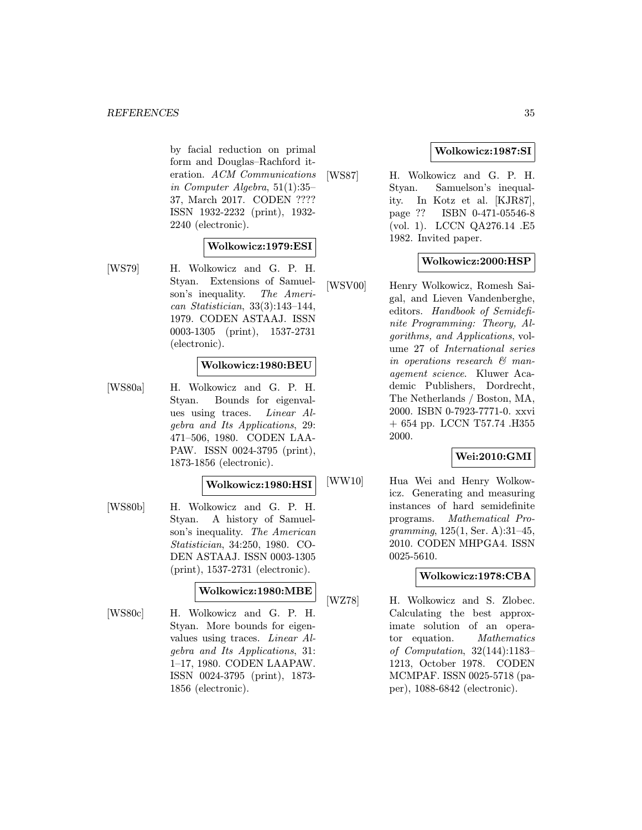by facial reduction on primal form and Douglas–Rachford iteration. ACM Communications in Computer Algebra, 51(1):35– 37, March 2017. CODEN ???? ISSN 1932-2232 (print), 1932- 2240 (electronic).

### Wolkowicz:1979:ESI

[WS79] H. Wolkowicz and G. P. H. Styan. Extensions of Samuelson's inequality. The American Statistician, 33(3):143–144, 1979. CODEN ASTAAJ. ISSN 0003-1305 (print), 1537-2731 (electronic).

### Wolkowicz:1980:BEU

[WS80a] H. Wolkowicz and G. P. H. Styan. Bounds for eigenvalues using traces. Linear Algebra and Its Applications, 29: 471–506, 1980. CODEN LAA-PAW. ISSN 0024-3795 (print), 1873-1856 (electronic).

#### Wolkowicz:1980:HSI

[WS80b] H. Wolkowicz and G. P. H. Styan. A history of Samuelson's inequality. The American Statistician, 34:250, 1980. CO-DEN ASTAAJ. ISSN 0003-1305 (print), 1537-2731 (electronic).

## Wolkowicz:1980:MBE

[WS80c] H. Wolkowicz and G. P. H. Styan. More bounds for eigenvalues using traces. Linear Algebra and Its Applications, 31: 1–17, 1980. CODEN LAAPAW. ISSN 0024-3795 (print), 1873- 1856 (electronic).

## Wolkowicz:1987:SI

[WS87] H. Wolkowicz and G. P. H. Styan. Samuelson's inequality. In Kotz et al. [KJR87], page ?? ISBN 0-471-05546-8 (vol. 1). LCCN QA276.14 .E5 1982. Invited paper.

## Wolkowicz:2000:HSP

[WSV00] Henry Wolkowicz, Romesh Saigal, and Lieven Vandenberghe, editors. Handbook of Semidefinite Programming: Theory, Algorithms, and Applications, volume 27 of International series in operations research & management science. Kluwer Academic Publishers, Dordrecht, The Netherlands / Boston, MA, 2000. ISBN 0-7923-7771-0. xxvi + 654 pp. LCCN T57.74 .H355 2000.

### Wei:2010:GMI

[WW10] Hua Wei and Henry Wolkowicz. Generating and measuring instances of hard semidefinite programs. Mathematical Programming, 125(1, Ser. A):31–45, 2010. CODEN MHPGA4. ISSN 0025-5610.

## Wolkowicz:1978:CBA

[WZ78] H. Wolkowicz and S. Zlobec. Calculating the best approximate solution of an operator equation. Mathematics of Computation, 32(144):1183– 1213, October 1978. CODEN MCMPAF. ISSN 0025-5718 (paper), 1088-6842 (electronic).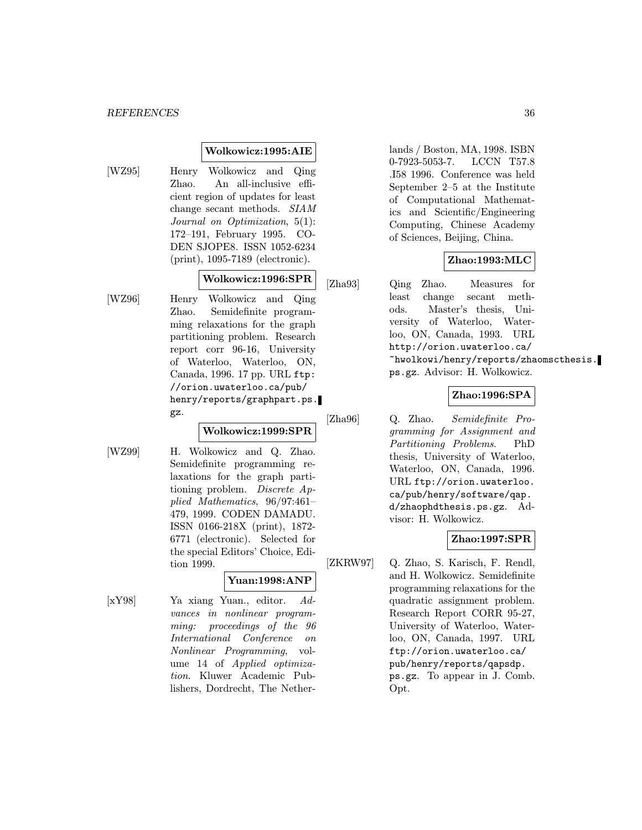### Wolkowicz:1995:AIE

[WZ95] Henry Wolkowicz and Qing Zhao. An all-inclusive efficient region of updates for least change secant methods. SIAM Journal on Optimization, 5(1): 172–191, February 1995. CO-DEN SJOPE8. ISSN 1052-6234 (print), 1095-7189 (electronic).

### Wolkowicz:1996:SPR

[WZ96] Henry Wolkowicz and Qing Zhao. Semidefinite programming relaxations for the graph partitioning problem. Research report corr 96-16, University of Waterloo, Waterloo, ON, Canada, 1996. 17 pp. URL ftp: //orion.uwaterloo.ca/pub/ henry/reports/graphpart.ps. gz.

## Wolkowicz:1999:SPR

[WZ99] H. Wolkowicz and Q. Zhao. Semidefinite programming relaxations for the graph partitioning problem. Discrete Applied Mathematics, 96/97:461– 479, 1999. CODEN DAMADU. ISSN 0166-218X (print), 1872- 6771 (electronic). Selected for the special Editors' Choice, Edition 1999.

## Yuan:1998:ANP

[xY98] Ya xiang Yuan., editor. Advances in nonlinear programming: proceedings of the 96 International Conference on Nonlinear Programming, volume 14 of Applied optimization. Kluwer Academic Publishers, Dordrecht, The Netherlands / Boston, MA, 1998. ISBN 0-7923-5053-7. LCCN T57.8 .I58 1996. Conference was held September 2–5 at the Institute of Computational Mathematics and Scientific/Engineering Computing, Chinese Academy of Sciences, Beijing, China.

## Zhao:1993:MLC

[Zha93] Qing Zhao. Measures for least change secant methods. Master's thesis, University of Waterloo, Waterloo, ON, Canada, 1993. URL http://orion.uwaterloo.ca/ ~hwolkowi/henry/reports/zhaomscthesis. ps.gz. Advisor: H. Wolkowicz.

## Zhao:1996:SPA

[Zha96] Q. Zhao. Semidefinite Programming for Assignment and Partitioning Problems. PhD thesis, University of Waterloo, Waterloo, ON, Canada, 1996. URL ftp://orion.uwaterloo. ca/pub/henry/software/qap. d/zhaophdthesis.ps.gz. Advisor: H. Wolkowicz.

### Zhao:1997:SPR

[ZKRW97] Q. Zhao, S. Karisch, F. Rendl, and H. Wolkowicz. Semidefinite programming relaxations for the quadratic assignment problem. Research Report CORR 95-27, University of Waterloo, Waterloo, ON, Canada, 1997. URL ftp://orion.uwaterloo.ca/ pub/henry/reports/qapsdp. ps.gz. To appear in J. Comb. Opt.